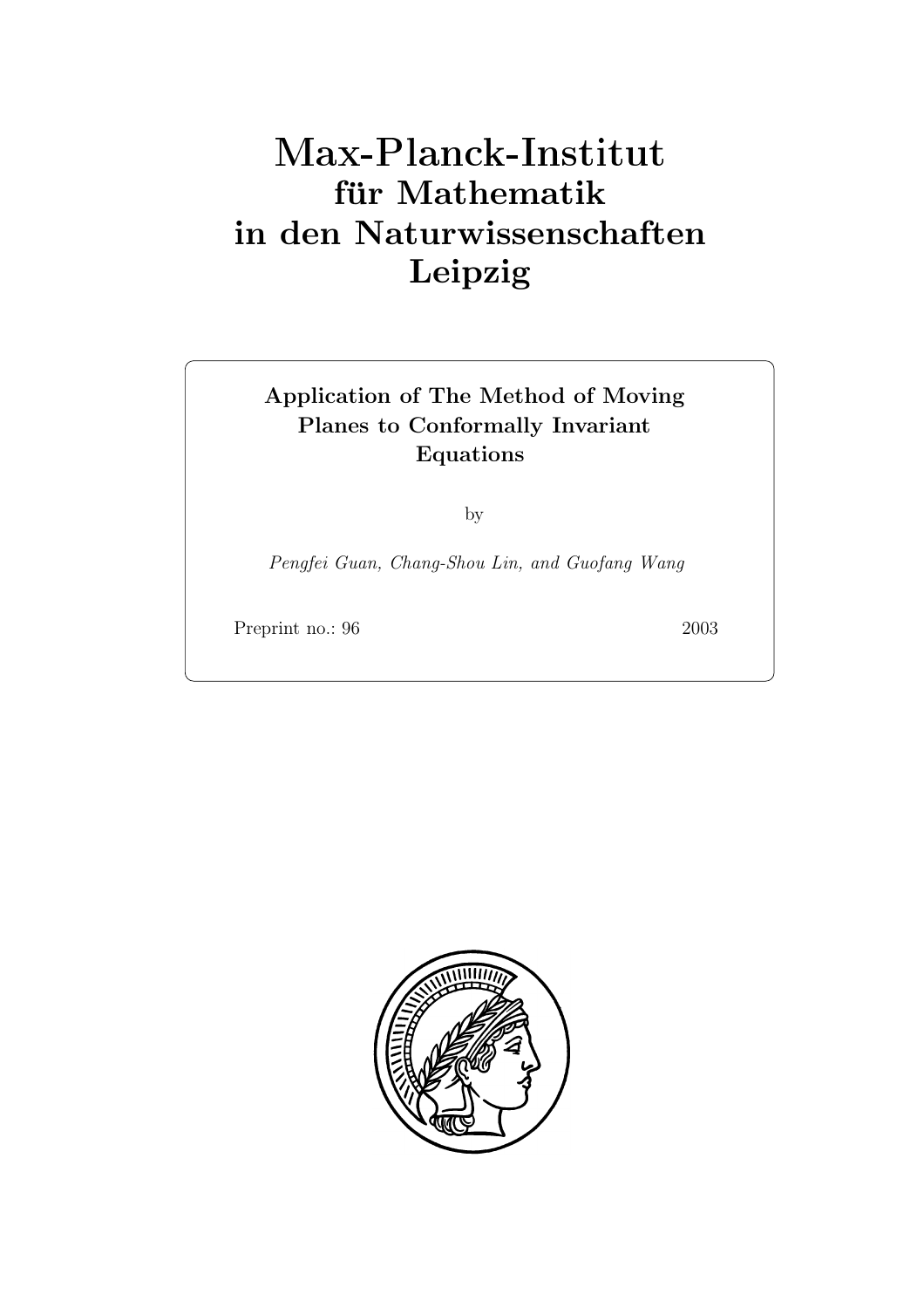# **für Mathematik in den Naturwissenschaften Leipzig**

# **Application of The Method of Moving Planes to Conformally Invariant Equations**

by

*Pengfei Guan, Chang-Shou Lin, and Guofang Wang*

Preprint no.: 96 2003

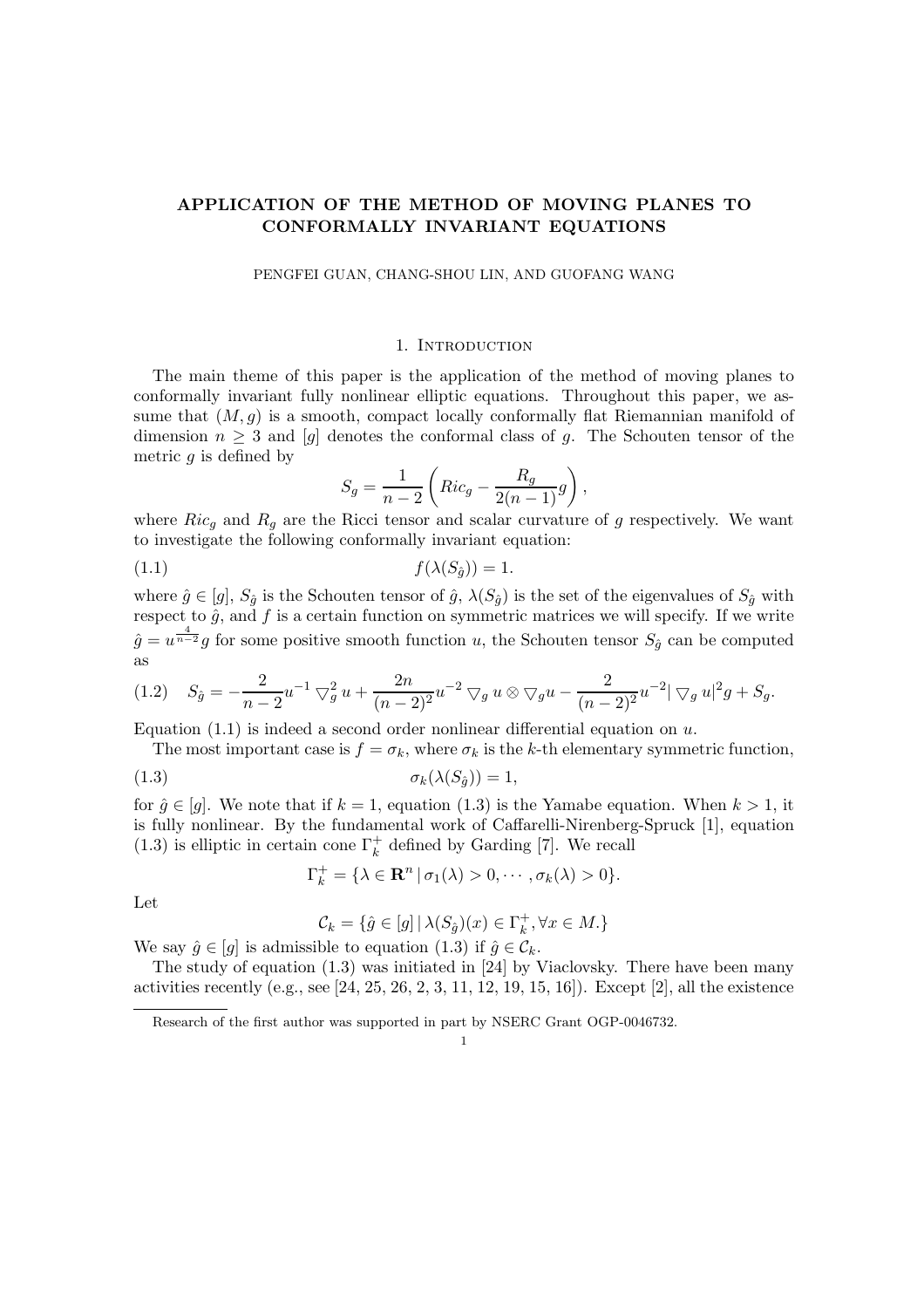## **APPLICATION OF THE METHOD OF MOVING PLANES TO CONFORMALLY INVARIANT EQUATIONS**

PENGFEI GUAN, CHANG-SHOU LIN, AND GUOFANG WANG

#### 1. INTRODUCTION

The main theme of this paper is the application of the method of moving planes to conformally invariant fully nonlinear elliptic equations. Throughout this paper, we assume that  $(M, q)$  is a smooth, compact locally conformally flat Riemannian manifold of dimension  $n \geq 3$  and [g] denotes the conformal class of g. The Schouten tensor of the metric  $q$  is defined by

$$
S_g = \frac{1}{n-2} \left( Ric_g - \frac{R_g}{2(n-1)} g \right),\,
$$

where  $Ric_q$  and  $R_q$  are the Ricci tensor and scalar curvature of g respectively. We want to investigate the following conformally invariant equation:

$$
(1.1) \t\t f(\lambda(S_{\hat{g}})) = 1.
$$

where  $\hat{g} \in [g], S_{\hat{g}}$  is the Schouten tensor of  $\hat{g}, \lambda(S_{\hat{g}})$  is the set of the eigenvalues of  $S_{\hat{g}}$  with respect to  $\hat{g}$ , and  $f$  is a certain function on symmetric matrices we will specify. If we write  $\hat{g} = u^{\frac{4}{n-2}}g$  for some positive smooth function u, the Schouten tensor  $S_{\hat{g}}$  can be computed as

$$
(1.2) \quad S_{\hat{g}} = -\frac{2}{n-2}u^{-1}\bigtriangledown_{g}^{2}u + \frac{2n}{(n-2)^{2}}u^{-2}\bigtriangledown_{g}u \otimes \bigtriangledown_{g}u - \frac{2}{(n-2)^{2}}u^{-2}|\bigtriangledown_{g}u|^{2}g + S_{g}.
$$

Equation  $(1.1)$  is indeed a second order nonlinear differential equation on u.

The most important case is  $f = \sigma_k$ , where  $\sigma_k$  is the k-th elementary symmetric function,

$$
\sigma_k(\lambda(S_{\hat{g}})) = 1,
$$

for  $\hat{g} \in [g]$ . We note that if  $k = 1$ , equation (1.3) is the Yamabe equation. When  $k > 1$ , it is fully nonlinear. By the fundamental work of Caffarelli-Nirenberg-Spruck [1], equation (1.3) is elliptic in certain cone  $\Gamma_k^+$  defined by Garding [7]. We recall

$$
\Gamma_k^+ = \{ \lambda \in \mathbf{R}^n \, | \, \sigma_1(\lambda) > 0, \cdots, \sigma_k(\lambda) > 0 \}.
$$

Let

$$
\mathcal{C}_k = \{ \hat{g} \in [g] \, \vert \, \lambda(S_{\hat{g}})(x) \in \Gamma_k^+, \forall x \in M. \}
$$

We say  $\hat{g} \in [g]$  is admissible to equation (1.3) if  $\hat{g} \in \mathcal{C}_k$ .<br>The study of equation (1.3) was initiated in [24] by Y

The study of equation (1.3) was initiated in [24] by Viaclovsky. There have been many activities recently (e.g., see  $[24, 25, 26, 2, 3, 11, 12, 19, 15, 16]$ ). Except  $[2]$ , all the existence

1

Research of the first author was supported in part by NSERC Grant OGP-0046732.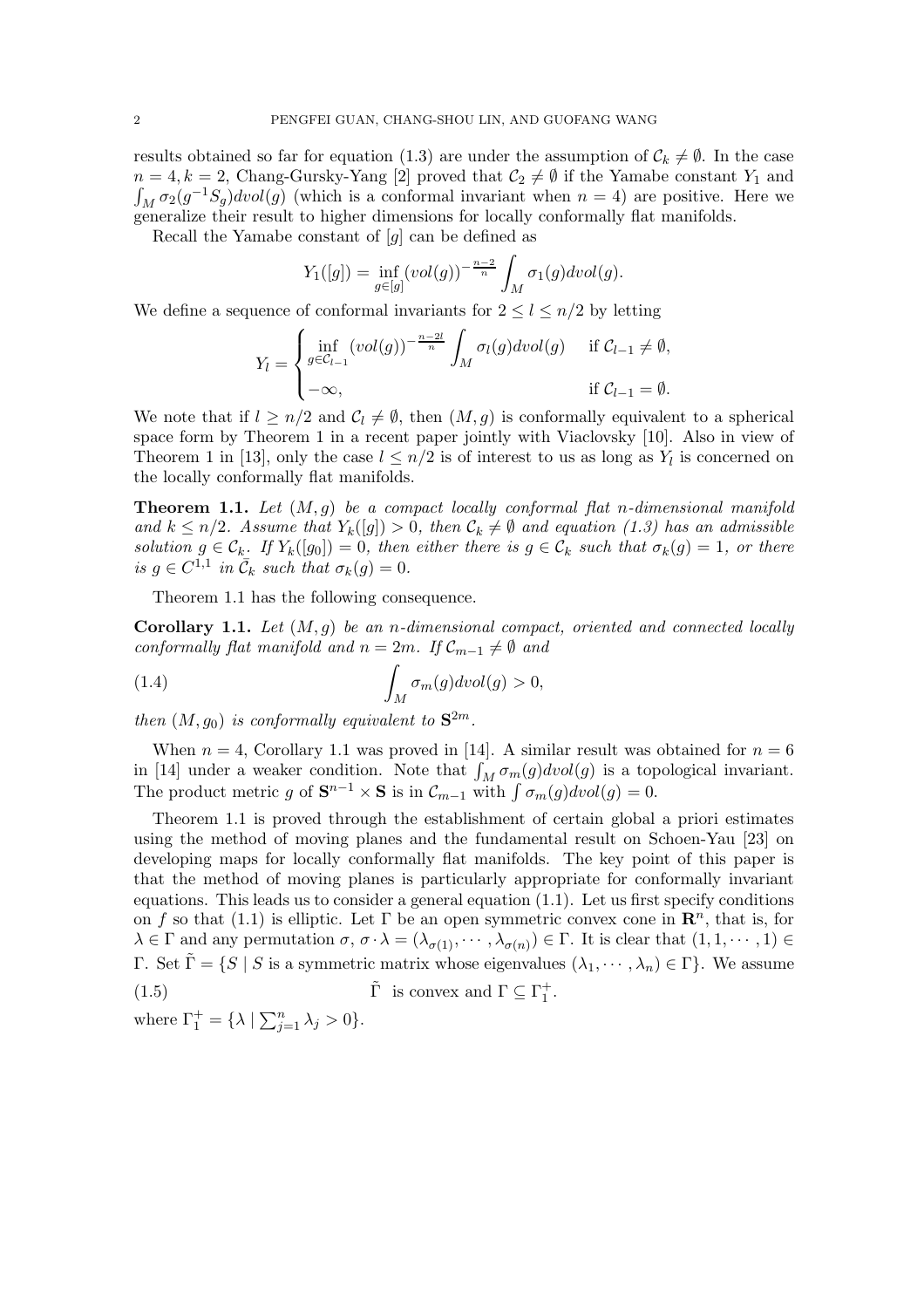results obtained so far for equation (1.3) are under the assumption of  $C_k \neq \emptyset$ . In the case  $n = 4, k = 2$ , Chang-Gursky-Yang [2] proved that  $C_2 \neq \emptyset$  if the Yamabe constant Y<sub>1</sub> and  $\int_M \sigma_2(g^{-1}S_g)dvol(g)$  (which is a conformal invariant when  $n = 4$ ) are positive. Here we generalize their result to higher dimensions for locally conformally flat manifolds generalize their result to higher dimensions for locally conformally flat manifolds.

Recall the Yamabe constant of  $[g]$  can be defined as

$$
Y_1([g]) = \inf_{g \in [g]} (vol(g))^{-\frac{n-2}{n}} \int_M \sigma_1(g) dvol(g).
$$

We define a sequence of conformal invariants for  $2 \leq l \leq n/2$  by letting

$$
Y_l = \begin{cases} \inf_{g \in \mathcal{C}_{l-1}} (vol(g))^{-\frac{n-2l}{n}} \int_M \sigma_l(g) dvol(g) & \text{if } \mathcal{C}_{l-1} \neq \emptyset, \\ -\infty, & \text{if } \mathcal{C}_{l-1} = \emptyset. \end{cases}
$$

We note that if  $l \geq n/2$  and  $C_l \neq \emptyset$ , then  $(M, g)$  is conformally equivalent to a spherical space form by Theorem 1 in a recent paper jointly with Viaclovsky [10]. Also in view of Theorem 1 in [13], only the case  $l \leq n/2$  is of interest to us as long as  $Y_l$  is concerned on the locally conformally flat manifolds.

**Theorem 1.1.** *Let* (M,g) *be a compact locally conformal flat* n*-dimensional manifold and*  $k \leq n/2$ *. Assume that*  $Y_k([g]) > 0$ *, then*  $C_k \neq \emptyset$  *and equation (1.3) has an admissible solution*  $g \in C_k$ *. If*  $Y_k([g_0]) = 0$ *, then either there is*  $g \in C_k$  *such that*  $\sigma_k(g) = 1$ *, or there is*  $g \in C^{1,1}$  *in*  $\overline{C}_k$  *such that*  $\sigma_k(g) = 0$ *.* 

Theorem 1.1 has the following consequence.

**Corollary 1.1.** *Let* (M,g) *be an* n*-dimensional compact, oriented and connected locally conformally flat manifold and*  $n = 2m$ *. If*  $C_{m-1} \neq \emptyset$  *and* 

(1.4) 
$$
\int_M \sigma_m(g) dvol(g) > 0,
$$

then  $(M, g_0)$  is conformally equivalent to  $S^{2m}$ .

When  $n = 4$ , Corollary 1.1 was proved in [14]. A similar result was obtained for  $n = 6$ in [14] under a weaker condition. Note that  $\int_M \sigma_m(g) dvol(g)$  is a topological invariant.<br>The product metric  $g$  of  $S^{n-1} \times S$  is in  $C \longrightarrow$  with  $\int \sigma_g(g) dvol(g) = 0$ The product metric g of  $\mathbf{S}^{n-1} \times \mathbf{S}$  is in  $\mathcal{C}_{m-1}$  with  $\int \sigma_m(g) dvol(g) = 0$ .

Theorem 1.1 is proved through the establishment of certain global a priori estimates using the method of moving planes and the fundamental result on Schoen-Yau [23] on developing maps for locally conformally flat manifolds. The key point of this paper is that the method of moving planes is particularly appropriate for conformally invariant equations. This leads us to consider a general equation  $(1.1)$ . Let us first specify conditions on f so that (1.1) is elliptic. Let  $\Gamma$  be an open symmetric convex cone in  $\mathbb{R}^n$ , that is, for  $\lambda \in \Gamma$  and any permutation  $\sigma$ ,  $\sigma \cdot \lambda = (\lambda_{\sigma(1)}, \cdots, \lambda_{\sigma(n)}) \in \Gamma$ . It is clear that  $(1, 1, \cdots, 1) \in$ Γ. Set  $\tilde{\Gamma} = \{ S \mid S \text{ is a symmetric matrix whose eigenvalues } (\lambda_1, \dots, \lambda_n) \in \Gamma \}.$  We assume (1.5)  $\tilde{\Gamma}$  is convex and  $\Gamma \subseteq \Gamma_1^+$ . (1.5)  $\tilde{\Gamma}$  is convex and  $\Gamma \subseteq \Gamma_1^+$ .

where  $\Gamma_1^+ = {\lambda \mid \sum_{j=1}^n \lambda_j > 0}.$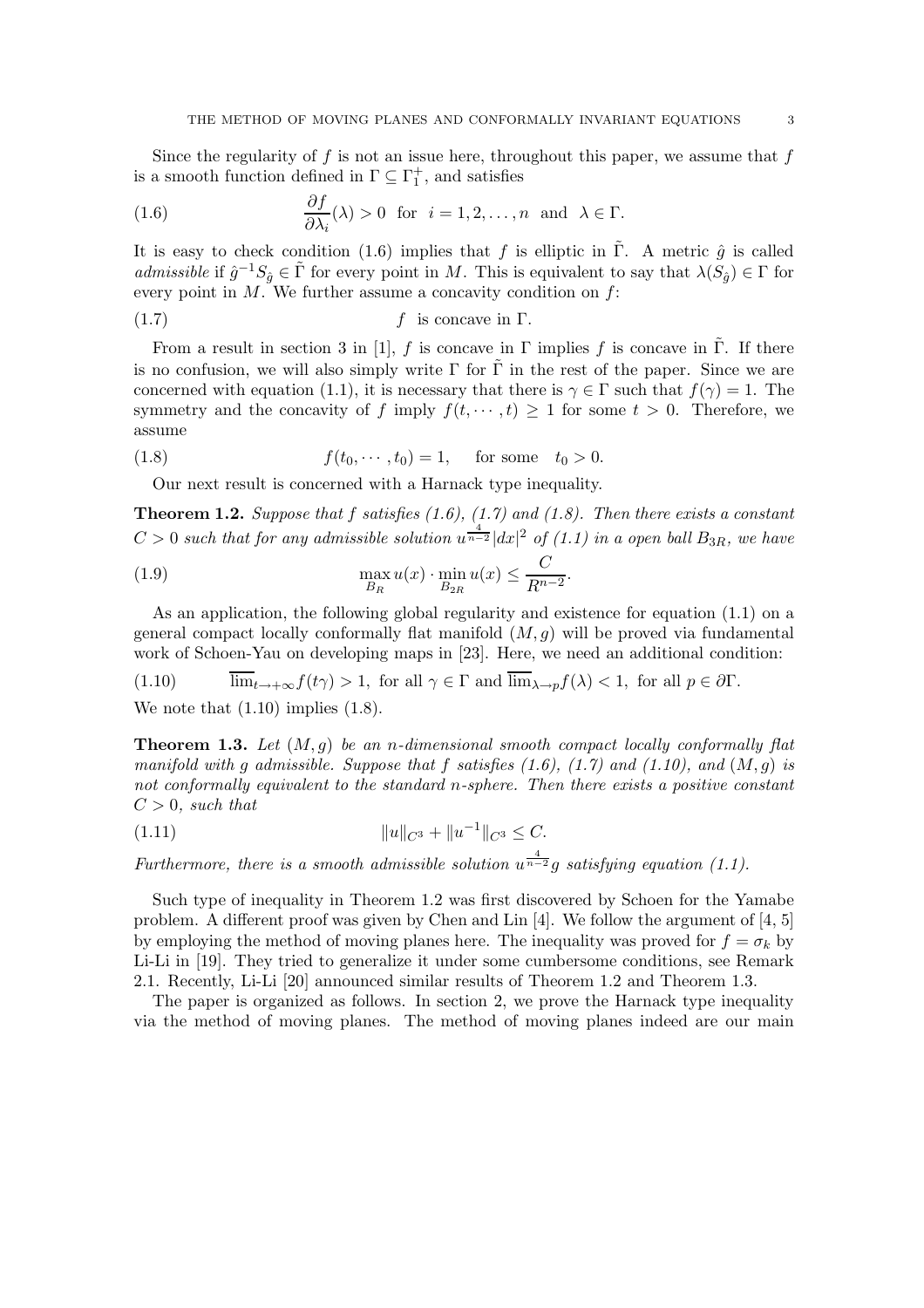Since the regularity of f is not an issue here, throughout this paper, we assume that  $f$ is a smooth function defined in  $\Gamma \subseteq \Gamma_1^+$  , and satisfies

(1.6) 
$$
\frac{\partial f}{\partial \lambda_i}(\lambda) > 0 \text{ for } i = 1, 2, ..., n \text{ and } \lambda \in \Gamma.
$$

It is easy to check condition (1.6) implies that f is elliptic in  $\tilde{\Gamma}$ . A metric  $\hat{g}$  is called *admissible* if  $\hat{g}^{-1}S_{\hat{g}} \in \tilde{\Gamma}$  for every point in M. This is equivalent to say that  $\lambda(S_{\hat{g}}) \in \Gamma$  for every point in  $M$ . We further assume a concavity condition on  $f$ :

$$
(1.7) \t\t\t f is concave in  $\Gamma$ .
$$

From a result in section 3 in [1], f is concave in  $\Gamma$  implies f is concave in  $\tilde{\Gamma}$ . If there is no confusion, we will also simply write  $\Gamma$  for  $\tilde{\Gamma}$  in the rest of the paper. Since we are concerned with equation (1.1), it is necessary that there is  $\gamma \in \Gamma$  such that  $f(\gamma) = 1$ . The symmetry and the concavity of f imply  $f(t, \dots, t) \geq 1$  for some  $t > 0$ . Therefore, we assume

(1.8) 
$$
f(t_0, \dots, t_0) = 1
$$
, for some  $t_0 > 0$ .

Our next result is concerned with a Harnack type inequality.

**Theorem 1.2.** *Suppose that* f *satisfies (1.6), (1.7) and (1.8). Then there exists a constant*  $C > 0$  such that for any admissible solution  $u^{\frac{4}{n-2}}|dx|^2$  of (1.1) in a open ball  $B_{3R}$ , we have

(1.9) 
$$
\max_{B_R} u(x) \cdot \min_{B_{2R}} u(x) \leq \frac{C}{R^{n-2}}.
$$

As an application, the following global regularity and existence for equation (1.1) on a general compact locally conformally flat manifold  $(M,g)$  will be proved via fundamental work of Schoen-Yau on developing maps in [23]. Here, we need an additional condition:

(1.10) 
$$
\overline{\lim}_{t \to +\infty} f(t\gamma) > 1, \text{ for all } \gamma \in \Gamma \text{ and } \overline{\lim}_{\lambda \to p} f(\lambda) < 1, \text{ for all } p \in \partial \Gamma.
$$

We note that  $(1.10)$  implies  $(1.8)$ .

**Theorem 1.3.** *Let* (M,g) *be an* n*-dimensional smooth compact locally conformally flat manifold with* g *admissible. Suppose that* f *satisfies (1.6), (1.7) and (1.10), and* (M,g) *is not conformally equivalent to the standard* n*-sphere. Then there exists a positive constant*  $C > 0$ , such that

$$
(1.11)\t\t\t\t\t||u||_{C^3} + ||u^{-1}||_{C^3} \leq C.
$$

*Furthermore, there is a smooth admissible solution*  $u^{\frac{4}{n-2}}g$  *satisfying equation* (1.1).

Such type of inequality in Theorem 1.2 was first discovered by Schoen for the Yamabe problem. A different proof was given by Chen and Lin  $[4]$ . We follow the argument of  $[4, 5]$ by employing the method of moving planes here. The inequality was proved for  $f = \sigma_k$  by Li-Li in [19]. They tried to generalize it under some cumbersome conditions, see Remark 2.1. Recently, Li-Li [20] announced similar results of Theorem 1.2 and Theorem 1.3.

The paper is organized as follows. In section 2, we prove the Harnack type inequality via the method of moving planes. The method of moving planes indeed are our main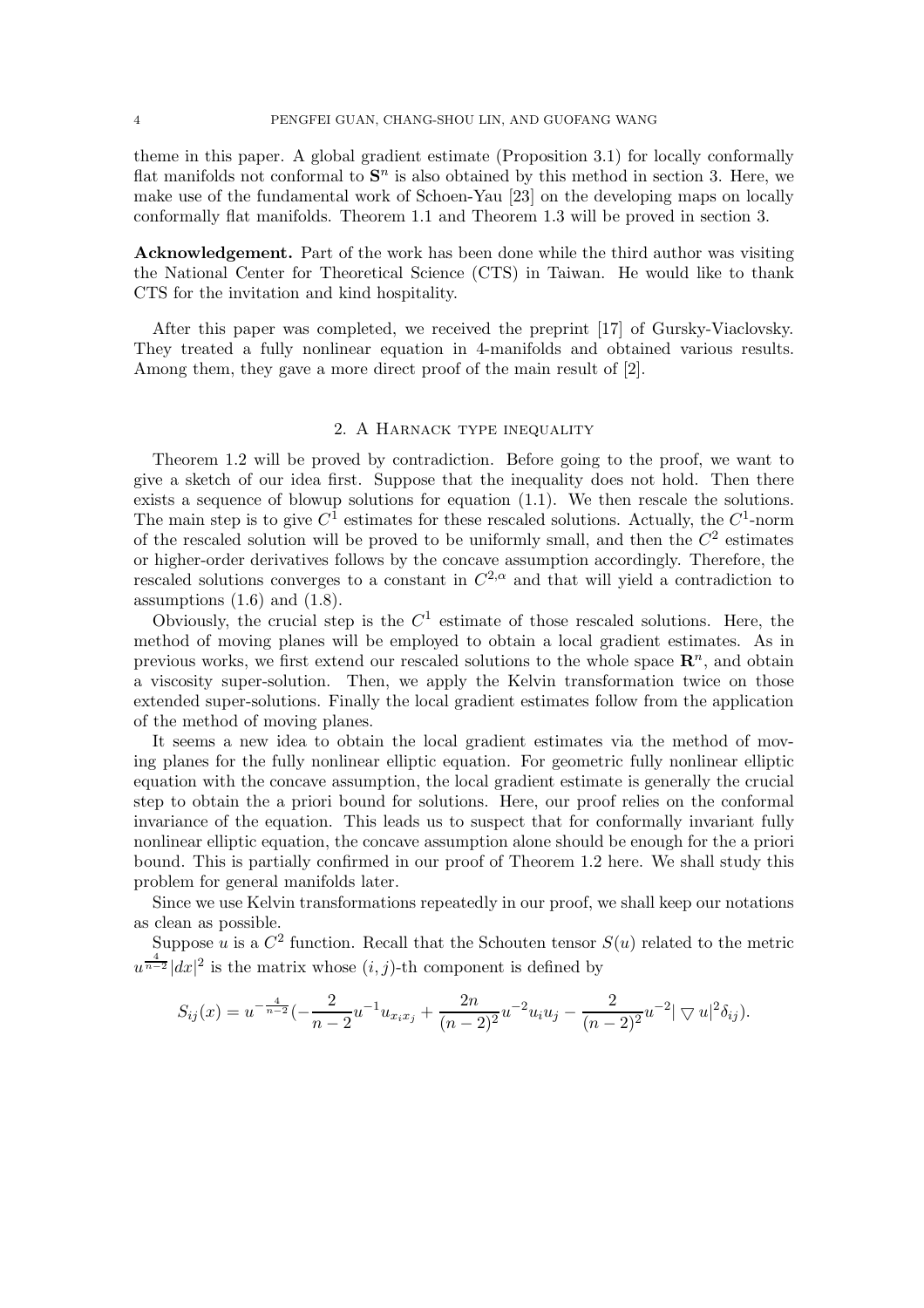theme in this paper. A global gradient estimate (Proposition 3.1) for locally conformally flat manifolds not conformal to  $S<sup>n</sup>$  is also obtained by this method in section 3. Here, we make use of the fundamental work of Schoen-Yau [23] on the developing maps on locally conformally flat manifolds. Theorem 1.1 and Theorem 1.3 will be proved in section 3.

**Acknowledgement.** Part of the work has been done while the third author was visiting the National Center for Theoretical Science (CTS) in Taiwan. He would like to thank CTS for the invitation and kind hospitality.

After this paper was completed, we received the preprint [17] of Gursky-Viaclovsky. They treated a fully nonlinear equation in 4-manifolds and obtained various results. Among them, they gave a more direct proof of the main result of [2].

### 2. A Harnack type inequality

Theorem 1.2 will be proved by contradiction. Before going to the proof, we want to give a sketch of our idea first. Suppose that the inequality does not hold. Then there exists a sequence of blowup solutions for equation (1.1). We then rescale the solutions. The main step is to give  $C^1$  estimates for these rescaled solutions. Actually, the  $C^1$ -norm of the rescaled solution will be proved to be uniformly small, and then the  $C<sup>2</sup>$  estimates or higher-order derivatives follows by the concave assumption accordingly. Therefore, the rescaled solutions converges to a constant in  $C^{2,\alpha}$  and that will yield a contradiction to assumptions  $(1.6)$  and  $(1.8)$ .

Obviously, the crucial step is the  $C<sup>1</sup>$  estimate of those rescaled solutions. Here, the method of moving planes will be employed to obtain a local gradient estimates. As in previous works, we first extend our rescaled solutions to the whole space  $\mathbb{R}^n$ , and obtain a viscosity super-solution. Then, we apply the Kelvin transformation twice on those extended super-solutions. Finally the local gradient estimates follow from the application of the method of moving planes.

It seems a new idea to obtain the local gradient estimates via the method of moving planes for the fully nonlinear elliptic equation. For geometric fully nonlinear elliptic equation with the concave assumption, the local gradient estimate is generally the crucial step to obtain the a priori bound for solutions. Here, our proof relies on the conformal invariance of the equation. This leads us to suspect that for conformally invariant fully nonlinear elliptic equation, the concave assumption alone should be enough for the a priori bound. This is partially confirmed in our proof of Theorem 1.2 here. We shall study this problem for general manifolds later.

Since we use Kelvin transformations repeatedly in our proof, we shall keep our notations as clean as possible.

Suppose u is a  $C^2$  function. Recall that the Schouten tensor  $S(u)$  related to the metric  $u^{\frac{4}{n-2}}|dx|^2$  is the matrix whose  $(i, j)$ -th component is defined by

$$
S_{ij}(x) = u^{-\frac{4}{n-2}} \left(-\frac{2}{n-2} u^{-1} u_{x_ix_j} + \frac{2n}{(n-2)^2} u^{-2} u_i u_j - \frac{2}{(n-2)^2} u^{-2} |\nabla u|^2 \delta_{ij}\right).
$$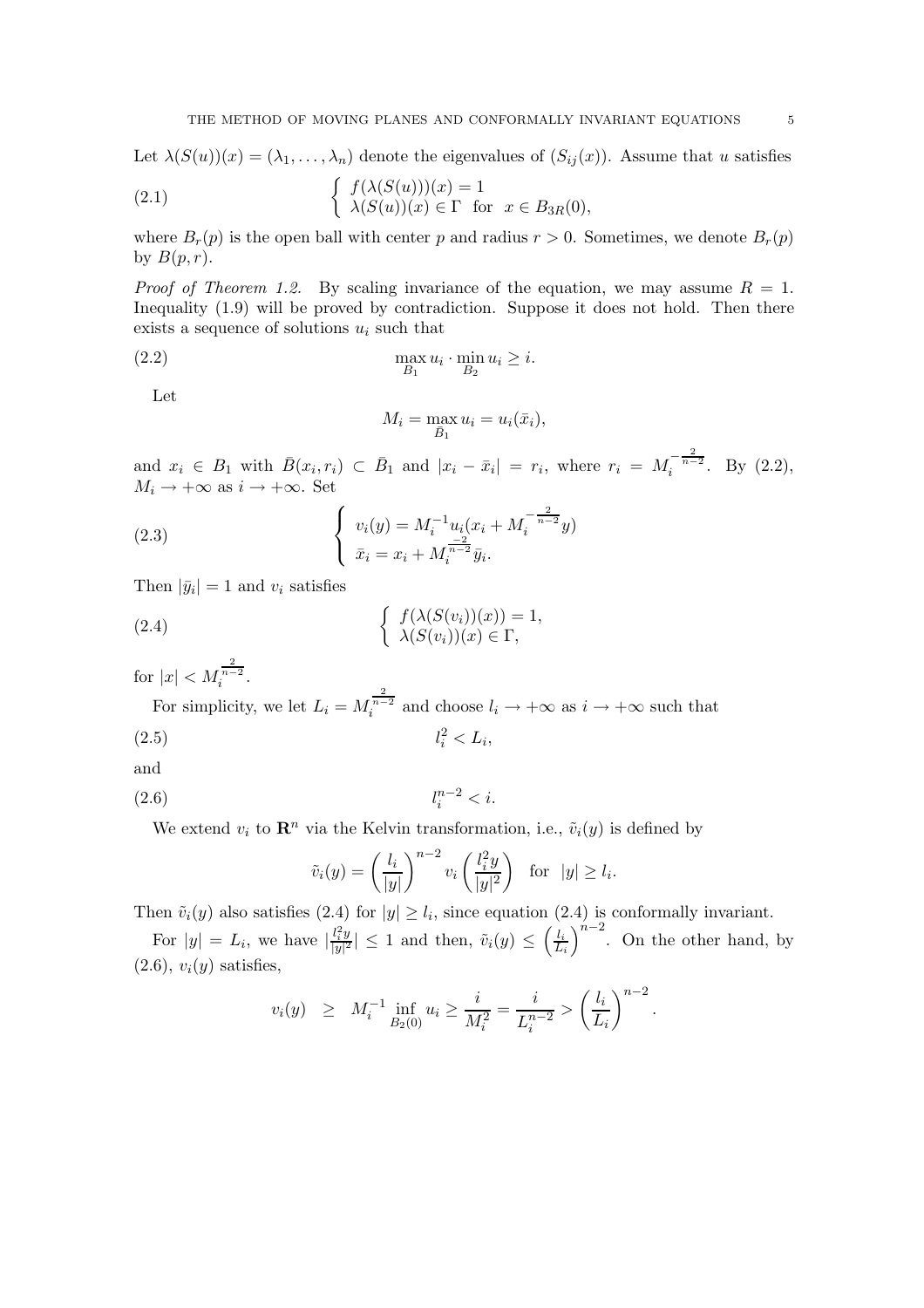Let  $\lambda(S(u))(x)=(\lambda_1,\ldots,\lambda_n)$  denote the eigenvalues of  $(S_{ij}(x))$ . Assume that u satisfies

(2.1) 
$$
\begin{cases} f(\lambda(S(u)))(x) = 1 \\ \lambda(S(u))(x) \in \Gamma \text{ for } x \in B_{3R}(0), \end{cases}
$$

where  $B_r(p)$  is the open ball with center p and radius  $r > 0$ . Sometimes, we denote  $B_r(p)$ by  $B(p,r)$ .

*Proof of Theorem 1.2.* By scaling invariance of the equation, we may assume  $R = 1$ . Inequality (1.9) will be proved by contradiction. Suppose it does not hold. Then there exists a sequence of solutions  $u_i$  such that

$$
\max_{B_1} u_i \cdot \min_{B_2} u_i \ge i.
$$

Let

$$
M_i = \max_{\bar{B}_1} u_i = u_i(\bar{x}_i),
$$

and  $x_i \in B_1$  with  $\bar{B}(x_i, r_i) \subset \bar{B}_1$  and  $|x_i - \bar{x}_i| = r_i$ , where  $r_i = M_i^{-\frac{2}{n-2}}$ . By (2.2),<br>  $M_i \to +\infty$  as  $i \to +\infty$ . Set  $M_i \to +\infty$  as  $i \to +\infty$ . Set

(2.3) 
$$
\begin{cases} v_i(y) = M_i^{-1} u_i (x_i + M_i^{-\frac{2}{n-2}} y) \\ \bar{x}_i = x_i + M_i^{\frac{-2}{n-2}} \bar{y}_i. \end{cases}
$$

Then  $|\bar{y}_i| = 1$  and  $v_i$  satisfies

(2.4) 
$$
\begin{cases} f(\lambda(S(v_i))(x)) = 1, \\ \lambda(S(v_i))(x) \in \Gamma, \end{cases}
$$

for  $|x| < M_i^{\frac{2}{n-2}}$ .

For simplicity, we let  $L_i = M_i^{\frac{2}{n-2}}$  and choose  $l_i \to +\infty$  as  $i \to +\infty$  such that  $(2.5)$  $i^2 < L_i,$ 

and

$$
(2.6) \t\t l_i^{n-2} < i.
$$

We extend  $v_i$  to  $\mathbb{R}^n$  via the Kelvin transformation, i.e.,  $\tilde{v}_i(y)$  is defined by

$$
\tilde{v}_i(y) = \left(\frac{l_i}{|y|}\right)^{n-2} v_i\left(\frac{l_i^2 y}{|y|^2}\right) \text{ for } |y| \ge l_i.
$$

Then  $\tilde{v}_i(y)$  also satisfies (2.4) for  $|y| \geq l_i$ , since equation (2.4) is conformally invariant.

For  $|y| = L_i$ , we have  $\left|\frac{l_i^2 y}{|y|^2}\right| \le 1$  and then,  $\tilde{v}_i(y) \le \left(\frac{l_i}{L_i}\right)$ L*i*  $n^{-2}$ . On the other hand, by  $(2.6), v_i(y)$  satisfies,

$$
v_i(y) \geq M_i^{-1} \inf_{B_2(0)} u_i \geq \frac{i}{M_i^2} = \frac{i}{L_i^{n-2}} > \left(\frac{l_i}{L_i}\right)^{n-2}.
$$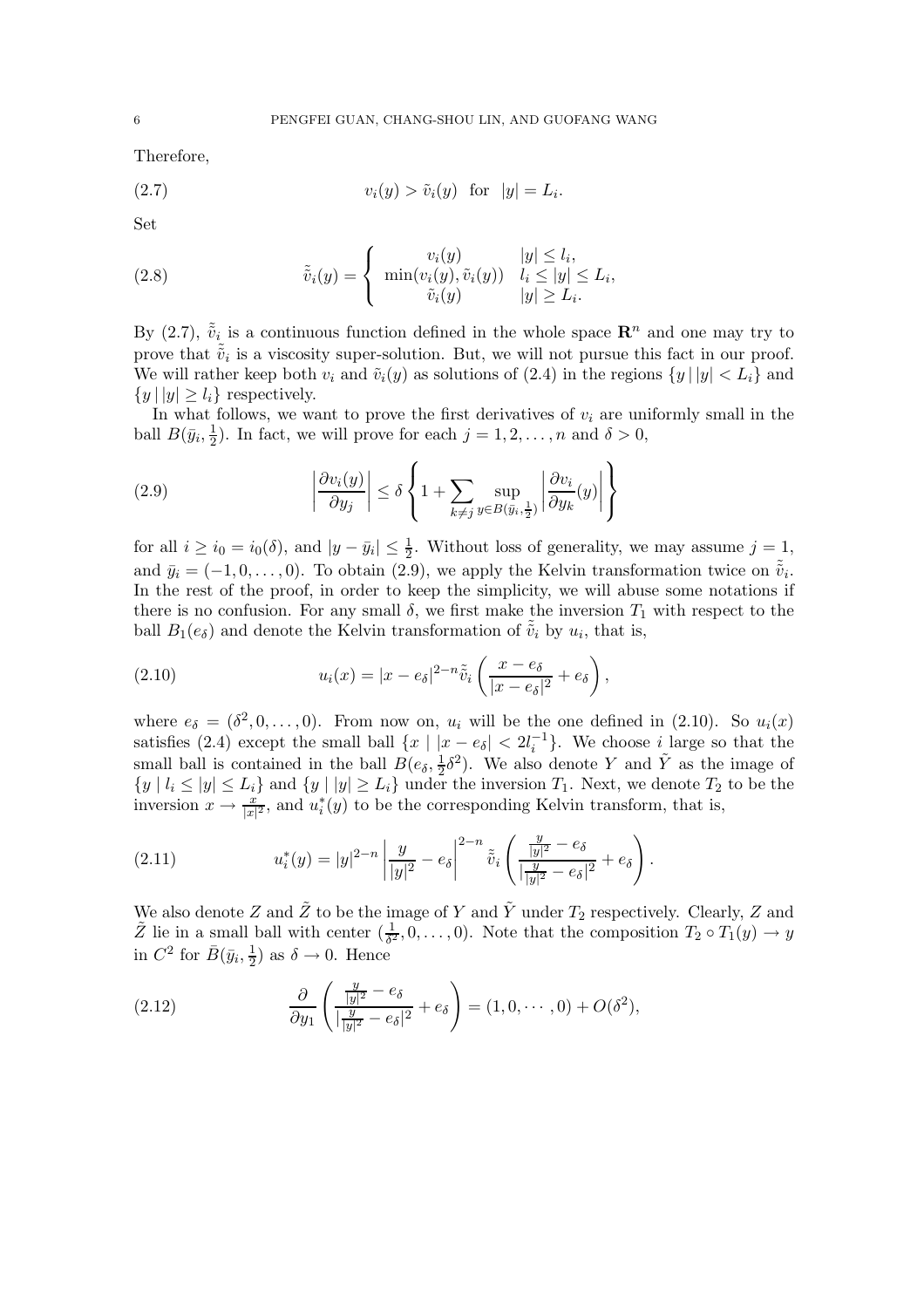Therefore,

$$
(2.7) \t v_i(y) > \tilde{v}_i(y) \t \text{for} \t |y| = L_i.
$$

Set

(2.8) 
$$
\tilde{v}_i(y) = \begin{cases} v_i(y) & |y| \le l_i, \\ \min(v_i(y), \tilde{v}_i(y)) & l_i \le |y| \le L_i, \\ \tilde{v}_i(y) & |y| \ge L_i. \end{cases}
$$

By (2.7),  $\tilde{\tilde{v}}_i$  is a continuous function defined in the whole space  $\mathbf{R}^n$  and one may try to prove that  $\tilde{\tilde{v}}_i$  is a viscosity super-solution. But, we will not pursue this fact in our proof.<br>We will nother lines hoth user and  $\tilde{v}_i(x)$  as solutions of (2.4) in the notions fulled  $\lt I$  leads We will rather keep both  $v_i$  and  $\tilde{v}_i(y)$  as solutions of (2.4) in the regions  $\{y \mid |y| < L_i\}$  and  $\{y \mid |y| \geq l_i\}$  respectively.

In what follows, we want to prove the first derivatives of  $v_i$  are uniformly small in the ball  $B(\bar{y}_i, \frac{1}{2})$ . In fact, we will prove for each  $j = 1, 2, ..., n$  and  $\delta > 0$ ,

(2.9) 
$$
\left| \frac{\partial v_i(y)}{\partial y_j} \right| \le \delta \left\{ 1 + \sum_{k \ne j} \sup_{y \in B(\bar{y}_i, \frac{1}{2})} \left| \frac{\partial v_i}{\partial y_k}(y) \right| \right\}
$$

for all  $i \ge i_0 = i_0(\delta)$ , and  $|y - \bar{y}_i| \le \frac{1}{2}$ . Without loss of generality, we may assume  $j = 1$ , and  $\bar{y}_i = (-1, 0, \ldots, 0)$ . To obtain (2.9), we apply the Kelvin transformation twice on  $\tilde{v}_i$ .<br>In the rest of the proof in order to leap the simplicity, we will abuse some potations if In the rest of the proof, in order to keep the simplicity, we will abuse some notations if there is no confusion. For any small  $\delta$ , we first make the inversion  $T_1$  with respect to the ball  $B_1(e_\delta)$  and denote the Kelvin transformation of  $\tilde{\tilde{v}}_i$  by  $u_i$ , that is,

(2.10) 
$$
u_i(x) = |x - e_\delta|^{2-n} \tilde{\tilde{v}}_i \left( \frac{x - e_\delta}{|x - e_\delta|^2} + e_\delta \right),
$$

where  $e_{\delta} = (\delta^2, 0, \ldots, 0)$ . From now on,  $u_i$  will be the one defined in (2.10). So  $u_i(x)$ satisfies (2.4) except the small ball  $\{x \mid |x - e_\delta| < 2l_i^{-1}\}$ . We choose *i* large so that the small ball is contained in the ball  $B(e_\delta, \frac{1}{2}\delta^2)$ . We also denote Y and  $\tilde{Y}$  as the image of  $\{e_i\}_{i\in I}$   $\leq$   $\{e_i\}_{i\in I}$  on  $\{e_i\}_{i\in I}$   $\geq$   $I$ ,  $\}$  under the inversion T. Next, we denote T, to be the  $\{y \mid l_i \leq |y| \leq L_i\}$  and  $\{y \mid |y| \geq L_i\}$  under the inversion  $T_1$ . Next, we denote  $T_2$  to be the inversion  $x \to \frac{x}{|x|^2}$ , and  $u_i^*(y)$  to be the corresponding Kelvin transform, that is,

(2.11) 
$$
u_i^*(y) = |y|^{2-n} \left| \frac{y}{|y|^2} - e_\delta \right|^{2-n} \tilde{\tilde{v}}_i \left( \frac{\frac{y}{|y|^2} - e_\delta}{|\frac{y}{|y|^2} - e_\delta|^2} + e_\delta \right).
$$

We also denote Z and  $\tilde{Z}$  to be the image of Y and  $\tilde{Y}$  under  $T_2$  respectively. Clearly, Z and  $\tilde{Z}$  lie in a small ball with center  $(\frac{1}{\delta^2}, 0, \ldots, 0)$ . Note that the composition  $T_2 \circ T_1(y) \to y$ <br>in  $C^2$  for  $\bar{R}(\bar{w}, \frac{1}{2})$  as  $\delta \to 0$ . Hence in  $C^2$  for  $\bar{B}(\bar{y}_i, \frac{1}{2})$  as  $\delta \to 0$ . Hence

(2.12) 
$$
\frac{\partial}{\partial y_1} \left( \frac{\frac{y}{|y|^2} - e_\delta}{|\frac{y}{|y|^2} - e_\delta|^2} + e_\delta \right) = (1, 0, \cdots, 0) + O(\delta^2),
$$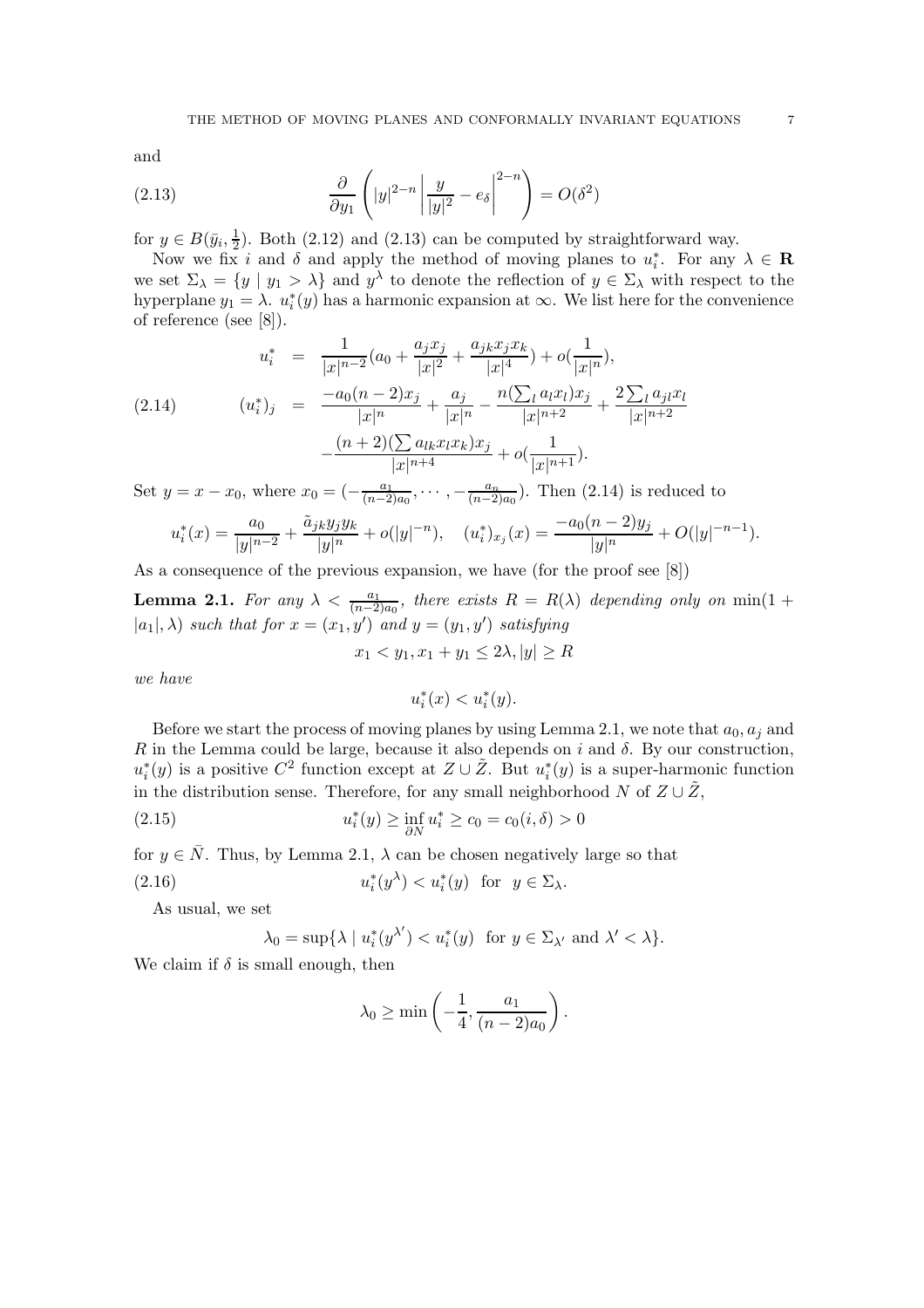and

(2.13) 
$$
\frac{\partial}{\partial y_1} \left( |y|^{2-n} \left| \frac{y}{|y|^2} - e_{\delta} \right|^{2-n} \right) = O(\delta^2)
$$

for  $y \in B(\bar{y}_i, \frac{1}{2})$ . Both (2.12) and (2.13) can be computed by straightforward way.

Now we fix i and  $\delta$  and apply the method of moving planes to  $u_i^*$ . For any  $\lambda \in \mathbb{R}$ <br>is set  $\Sigma_i = \{u \mid u_i > \lambda\}$  and  $u^{\lambda}$  to denote the reflection of  $u \in \Sigma$ , with respect to the we set  $\Sigma_{\lambda} = \{y \mid y_1 > \lambda\}$  and  $y^{\lambda}$  to denote the reflection of  $y \in \Sigma_{\lambda}$  with respect to the hyperplane  $y_1 = \lambda$ .  $u_i^*(y)$  has a harmonic expansion at  $\infty$ . We list here for the convenience of reference (see [8]) of reference (see [8]).

$$
u_i^* = \frac{1}{|x|^{n-2}}(a_0 + \frac{a_j x_j}{|x|^2} + \frac{a_j k x_j x_k}{|x|^4}) + o(\frac{1}{|x|^n}),
$$
  
(2.14) 
$$
(u_i^*)_j = \frac{-a_0(n-2)x_j}{|x|^n} + \frac{a_j}{|x|^n} - \frac{n(\sum_l a_l x_l)x_j}{|x|^{n+2}} + \frac{2\sum_l a_j x_l}{|x|^{n+2}} - \frac{(n+2)(\sum_l a_l x_l x_k)x_j}{|x|^{n+4}} + o(\frac{1}{|x|^{n+1}}).
$$

Set  $y = x - x_0$ , where  $x_0 = \left(-\frac{a_1}{(n-2)a_0}, \cdots, -\frac{a_n}{(n-2)a_0}\right)$ . Then (2.14) is reduced to

$$
u_i^*(x) = \frac{a_0}{|y|^{n-2}} + \frac{\tilde{a}_{jk}y_jy_k}{|y|^n} + o(|y|^{-n}), \quad (u_i^*)_{x_j}(x) = \frac{-a_0(n-2)y_j}{|y|^n} + O(|y|^{-n-1}).
$$

As a consequence of the previous expansion, we have (for the proof see [8])

**Lemma 2.1.** *For any*  $\lambda < \frac{a_1}{(n-2)a_0}$ , *there exists*  $R = R(\lambda)$  *depending only on* min(1 +  $|a_1|$ ) and that for  $x = (x-a')$  and  $y = (x-a')$  existing  $|a_1|, \lambda$  *such that for*  $x = (x_1, y')$  *and*  $y = (y_1, y')$  *satisfying* 

$$
x_1 < y_1, x_1 + y_1 \le 2\lambda, |y| \ge R
$$

*we have*

$$
u_i^*(x) < u_i^*(y).
$$

Before we start the process of moving planes by using Lemma 2.1, we note that  $a_0, a_j$  and R in the Lemma could be large, because it also depends on i and  $\delta$ . By our construction,  $u_i^*(y)$  is a positive  $C^2$  function except at  $Z \cup \tilde{Z}$ . But  $u_i^*(y)$  is a super-harmonic function<br>in the distribution sense. Therefore, for any small point backborhood  $N$  of  $Z \cup \tilde{Z}$ . in the distribution sense. Therefore, for any small neighborhood N of  $Z \cup \tilde{Z}$ ,

(2.15) 
$$
u_i^*(y) \ge \inf_{\partial N} u_i^* \ge c_0 = c_0(i, \delta) > 0
$$

for  $y \in \overline{N}$ . Thus, by Lemma 2.1,  $\lambda$  can be chosen negatively large so that

(2.16) 
$$
u_i^*(y^\lambda) < u_i^*(y) \quad \text{for} \quad y \in \Sigma_\lambda.
$$

As usual, we set

$$
\lambda_0 = \sup \{ \lambda \mid u_i^*(y^{\lambda'}) < u_i^*(y) \text{ for } y \in \Sigma_{\lambda'} \text{ and } \lambda' < \lambda \}.
$$

We claim if  $\delta$  is small enough, then

$$
\lambda_0 \ge \min\left(-\frac{1}{4}, \frac{a_1}{(n-2)a_0}\right).
$$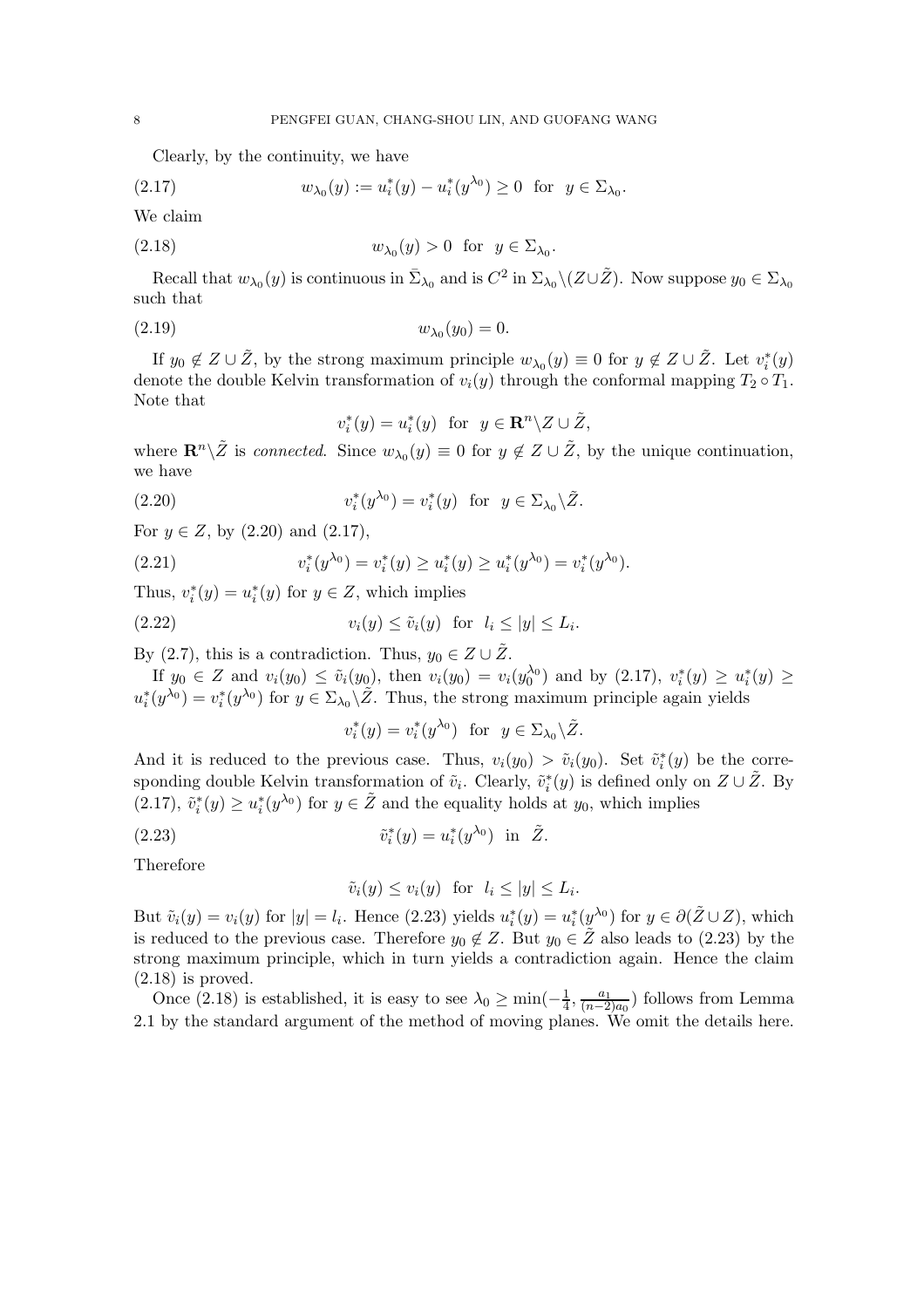Clearly, by the continuity, we have

(2.17) 
$$
w_{\lambda_0}(y) := u_i^*(y) - u_i^*(y^{\lambda_0}) \ge 0 \text{ for } y \in \Sigma_{\lambda_0}.
$$

We claim

(2.18) 
$$
w_{\lambda_0}(y) > 0 \text{ for } y \in \Sigma_{\lambda_0}.
$$

Recall that  $w_{\lambda_0}(y)$  is continuous in  $\bar{\Sigma}_{\lambda_0}$  and is  $C^2$  in  $\Sigma_{\lambda_0} \setminus (Z \cup \tilde{Z})$ . Now suppose  $y_0 \in \Sigma_{\lambda_0}$ such that

(2.19) 
$$
w_{\lambda_0}(y_0) = 0.
$$

If  $y_0 \notin Z \cup \tilde{Z}$ , by the strong maximum principle  $w_{\lambda_0}(y) \equiv 0$  for  $y \notin Z \cup \tilde{Z}$ . Let  $v_i^*(y)$ <br>note the double Kelvin transformation of  $v_i(y)$  through the conformal manning  $T_0 \circ T_1$ denote the double Kelvin transformation of  $v_i(y)$  through the conformal mapping  $T_2 \circ T_1$ . Note that

$$
v_i^*(y) = u_i^*(y) \text{ for } y \in \mathbf{R}^n \setminus Z \cup \tilde{Z},
$$

where  $\mathbf{R}^n \setminus \tilde{Z}$  is *connected*. Since  $w_{\lambda_0}(y) \equiv 0$  for  $y \notin Z \cup \tilde{Z}$ , by the unique continuation, we have

(2.20) 
$$
v_i^*(y^{\lambda_0}) = v_i^*(y) \text{ for } y \in \Sigma_{\lambda_0} \backslash \tilde{Z}.
$$

For  $y \in Z$ , by  $(2.20)$  and  $(2.17)$ ,

(2.21) 
$$
v_i^*(y^{\lambda_0}) = v_i^*(y) \ge u_i^*(y) \ge u_i^*(y^{\lambda_0}) = v_i^*(y^{\lambda_0}).
$$

Thus,  $v_i^*(y) = u_i^*(y)$  for  $y \in Z$ , which implies

(2.22) 
$$
v_i(y) \le \tilde{v}_i(y) \text{ for } l_i \le |y| \le L_i.
$$

By (2.7), this is a contradiction. Thus,  $y_0 \in Z \cup \tilde{Z}$ .

If  $y_0 \in Z$  and  $v_i(y_0) \le \tilde{v}_i(y_0)$ , then  $v_i(y_0) = v_i(y_0^{00})$  and by  $(2.17)$ ,  $v_i^*(y) \ge u_i^*(y) \ge$ <br> $(v_0^{00}) = v^*(v_0^{00})$  for  $u \in \Sigma$ ,  $\tilde{Z}$ . Thus the strong maximum principle again violds  $u_i^*(y^{\lambda_0}) = v_i^*(y^{\lambda_0})$  for  $y \in \Sigma_{\lambda_0} \backslash \tilde{Z}$ . Thus, the strong maximum principle again yields

$$
v_i^*(y) = v_i^*(y^{\lambda_0}) \text{ for } y \in \Sigma_{\lambda_0} \backslash \tilde{Z}.
$$

And it is reduced to the previous case. Thus,  $v_i(y_0) > \tilde{v}_i(y_0)$ . Set  $\tilde{v}_i^*(y)$  be the corre-<br>sponding double Kolvin transformation of  $\tilde{v}_i$ . Closury,  $\tilde{v}_i^*(y)$  is defined only on  $Z \cup \tilde{Z}$ . By sponding double Kelvin transformation of  $\tilde{v}_i$ . Clearly,  $\tilde{v}_i^*(y)$  is defined only on  $Z \cup \tilde{Z}$ . By<br>(2.17)  $\tilde{v}_i^*(y) \geq v_i^*(y)$  for  $v \in \tilde{Z}$  and the squality holds at  $v$ , which implies (2.17),  $\tilde{v}_i^*(y) \ge u_i^*(y^{\lambda_0})$  for  $y \in \tilde{Z}$  and the equality holds at  $y_0$ , which implies

(2.23) 
$$
\tilde{v}_i^*(y) = u_i^*(y^{\lambda_0}) \text{ in } \tilde{Z}.
$$

Therefore

$$
\tilde{v}_i(y) \le v_i(y) \text{ for } l_i \le |y| \le L_i.
$$

But  $\tilde{v}_i(y) = v_i(y)$  for  $|y| = l_i$ . Hence (2.23) yields  $u_i^*(y) = u_i^*(y^{\lambda_0})$  for  $y \in \partial(\tilde{Z} \cup Z)$ , which is reduced to the previous case. Therefore  $y_0 \notin Z$ . But  $y_0 \in \tilde{Z}$  also leads to (2.23) by the strong maximum principle, which in turn yields a contradiction again. Hence the claim  $(2.18)$  is proved.

Once (2.18) is established, it is easy to see  $\lambda_0 \ge \min(-\frac{1}{4}, \frac{a_1}{(n-2)a_0})$  follows from Lemma<br>by the standard argument of the method of moving planes. We omit the details here 2.1 by the standard argument of the method of moving planes. We omit the details here.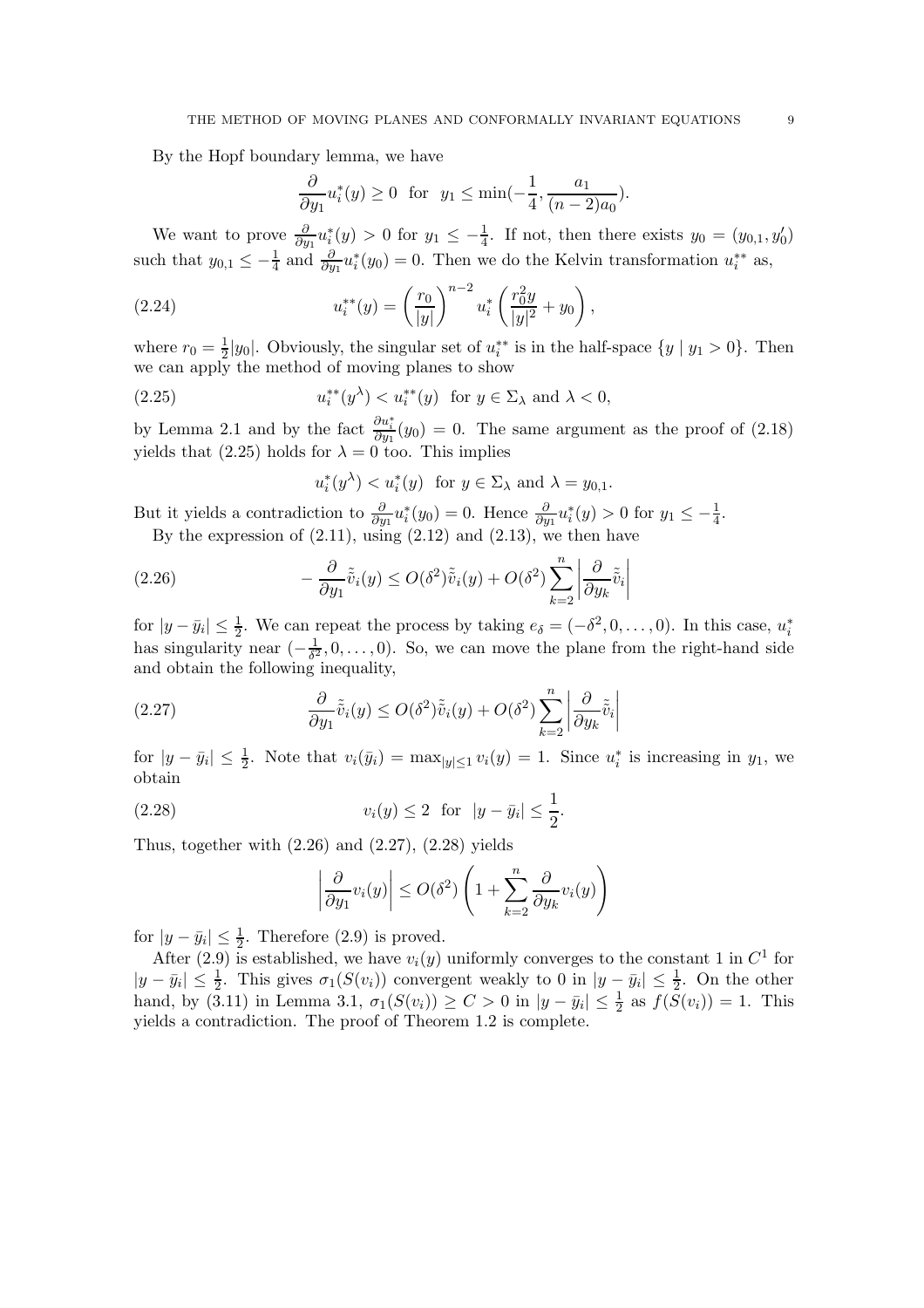By the Hopf boundary lemma, we have

$$
\frac{\partial}{\partial y_1}u_i^*(y) \ge 0 \text{ for } y_1 \le \min(-\frac{1}{4}, \frac{a_1}{(n-2)a_0}).
$$

We want to prove  $\frac{\partial}{\partial y_1} u_i^*(y) > 0$  for  $y_1 \le -\frac{1}{4}$ . If not, then there exists  $y_0 = (y_{0,1}, y'_0)$ such that  $y_{0,1} \leq -\frac{1}{4}$  and  $\frac{\partial}{\partial y_1} u_i^*(y_0) = 0$ . Then we do the Kelvin transformation  $u_i^{**}$  as,

(2.24) 
$$
u_i^{**}(y) = \left(\frac{r_0}{|y|}\right)^{n-2} u_i^* \left(\frac{r_0^2 y}{|y|^2} + y_0\right),
$$

where  $r_0 = \frac{1}{2}|y_0|$ . Obviously, the singular set of  $u_i^{**}$  is in the half-space  $\{y \mid y_1 > 0\}$ . Then we can apply the method of moving planes to show we can apply the method of moving planes to show

(2.25) 
$$
u_i^{**}(y^\lambda) < u_i^{**}(y) \quad \text{for } y \in \Sigma_\lambda \text{ and } \lambda < 0,
$$

by Lemma 2.1 and by the fact  $\frac{\partial u_i^*}{\partial y_1}(y_0) = 0$ . The same argument as the proof of (2.18) yields that (2.25) holds for  $\lambda = 0$  too. This implies

$$
u_i^*(y^\lambda) < u_i^*(y) \quad \text{for } y \in \Sigma_\lambda \text{ and } \lambda = y_{0,1}.
$$

But it yields a contradiction to  $\frac{\partial}{\partial y_1} u_i^*(y_0) = 0$ . Hence  $\frac{\partial}{\partial y_1} u_i^*(y) > 0$  for  $y_1 \le -\frac{1}{4}$ . By the expression of  $(2.11)$ , using  $(2.12)$  and  $(2.13)$ , we then have

(2.26) 
$$
-\frac{\partial}{\partial y_1}\tilde{\tilde{v}}_i(y) \le O(\delta^2)\tilde{\tilde{v}}_i(y) + O(\delta^2)\sum_{k=2}^n \left|\frac{\partial}{\partial y_k}\tilde{\tilde{v}}_i\right|
$$

for  $|y - \bar{y}_i| \leq \frac{1}{2}$ . We can repeat the process by taking  $e_{\delta} = (-\delta^2, 0, \ldots, 0)$ . In this case,  $u_i^*$ has singularity near  $\left(-\frac{1}{\delta^2}, 0, \ldots, 0\right)$ . So, we can move the plane from the right-hand side and obtain the following inequality and obtain the following inequality,

(2.27) 
$$
\frac{\partial}{\partial y_1}\tilde{\tilde{v}}_i(y) \le O(\delta^2)\tilde{\tilde{v}}_i(y) + O(\delta^2)\sum_{k=2}^n \left|\frac{\partial}{\partial y_k}\tilde{\tilde{v}}_i\right|
$$

for  $|y - \bar{y}_i| \leq \frac{1}{2}$ . Note that  $v_i(\bar{y}_i) = \max_{|y| \leq 1} v_i(y) = 1$ . Since  $u_i^*$  is increasing in  $y_1$ , we obtain obtain

(2.28) 
$$
v_i(y) \le 2 \text{ for } |y - \bar{y}_i| \le \frac{1}{2}.
$$

Thus, together with  $(2.26)$  and  $(2.27)$ ,  $(2.28)$  yields

$$
\left| \frac{\partial}{\partial y_1} v_i(y) \right| \le O(\delta^2) \left( 1 + \sum_{k=2}^n \frac{\partial}{\partial y_k} v_i(y) \right)
$$

for  $|y - \bar{y}_i| \leq \frac{1}{2}$ . Therefore (2.9) is proved.

After (2.9) is established, we have  $v_i(y)$  uniformly converges to the constant 1 in  $C^1$  for  $|y - \bar{y}_i| \leq \frac{1}{2}$ . This gives  $\sigma_1(S(v_i))$  convergent weakly to 0 in  $|y - \bar{y}_i| \leq \frac{1}{2}$ . On the other hand, by (3.11) in Lemma 3.1,  $\sigma_1(S(v_i)) \geq C > 0$  in  $|y - \bar{y}_i| \leq \frac{1}{2}$  as  $f(S(v_i)) = 1$ . This yields a contradiction. The proof of Theorem 1.2 is complete.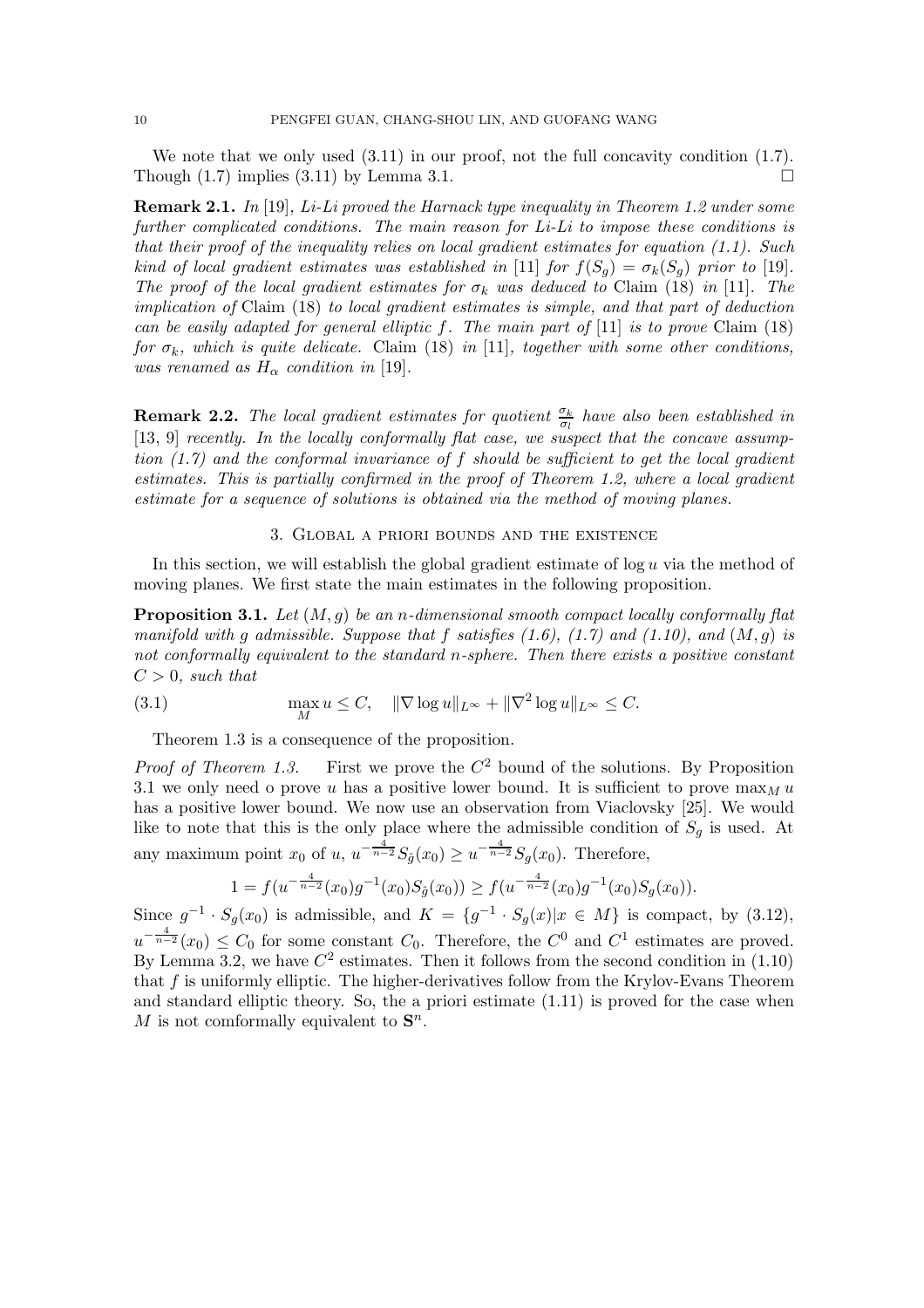We note that we only used  $(3.11)$  in our proof, not the full concavity condition  $(1.7)$ . Though  $(1.7)$  implies  $(3.11)$  by Lemma 3.1.

**Remark 2.1.** *In* [19]*, Li-Li proved the Harnack type inequality in Theorem 1.2 under some further complicated conditions. The main reason for Li-Li to impose these conditions is that their proof of the inequality relies on local gradient estimates for equation (1.1). Such kind of local gradient estimates was established in* [11] *for*  $f(S_q) = \sigma_k(S_q)$  *prior to* [19]*. The proof of the local gradient estimates for*  $\sigma_k$  *was deduced to* Claim (18) *in* [11]*. The implication of* Claim (18) *to local gradient estimates is simple, and that part of deduction can be easily adapted for general elliptic* f*. The main part of* [11] *is to prove* Claim (18) *for*  $\sigma_k$ *, which is quite delicate.* Claim (18) *in* [11]*, together with some other conditions, was renamed as*  $H_{\alpha}$  *condition in* [19]*.* 

**Remark 2.2.** *The local gradient estimates for quotient*  $\frac{\sigma_k}{\sigma_l}$  *have also been established in*<br>[13, 0] *recently In the locally conformally flat case, we systemet that the concave assump* [13, 9] *recently. In the locally conformally flat case, we suspect that the concave assumption (1.7) and the conformal invariance of* f *should be sufficient to get the local gradient estimates. This is partially confirmed in the proof of Theorem 1.2, where a local gradient estimate for a sequence of solutions is obtained via the method of moving planes.*

#### 3. Global a priori bounds and the existence

In this section, we will establish the global gradient estimate of  $\log u$  via the method of moving planes. We first state the main estimates in the following proposition.

**Proposition 3.1.** *Let* (M,g) *be an* n*-dimensional smooth compact locally conformally flat manifold with* g *admissible. Suppose that* f *satisfies (1.6), (1.7) and (1.10), and* (M,g) *is not conformally equivalent to the standard* n*-sphere. Then there exists a positive constant*  $C > 0$ , such that

(3.1) 
$$
\max_{M} u \leq C, \quad \|\nabla \log u\|_{L^{\infty}} + \|\nabla^2 \log u\|_{L^{\infty}} \leq C.
$$

Theorem 1.3 is a consequence of the proposition.

*Proof of Theorem 1.3.* First we prove the  $C^2$  bound of the solutions. By Proposition 3.1 we only need o prove u has a positive lower bound. It is sufficient to prove  $\max_M u$ has a positive lower bound. We now use an observation from Viaclovsky [25]. We would like to note that this is the only place where the admissible condition of  $S_g$  is used. At any maximum point  $x_0$  of  $u$ ,  $u^{-\frac{4}{n-2}}S_{\hat{g}}(x_0) \geq u^{-\frac{4}{n-2}}S_g(x_0)$ . Therefore,

$$
1 = f(u^{-\frac{4}{n-2}}(x_0)g^{-1}(x_0)S_{\hat{g}}(x_0)) \ge f(u^{-\frac{4}{n-2}}(x_0)g^{-1}(x_0)S_g(x_0)).
$$

Since  $g^{-1} \cdot S_g(x_0)$  is admissible, and  $K = \{g^{-1} \cdot S_g(x) | x \in M\}$  is compact, by (3.12),  $u^{-\frac{4}{n-2}}(x_0) \leq C_0$  for some constant  $C_0$ . Therefore, the  $C^0$  and  $C^1$  estimates are proved. By Lemma 3.2, we have  $C^2$  estimates. Then it follows from the second condition in (1.10) that f is uniformly elliptic. The higher-derivatives follow from the Krylov-Evans Theorem and standard elliptic theory. So, the a priori estimate (1.11) is proved for the case when M is not comformally equivalent to  $S^n$ .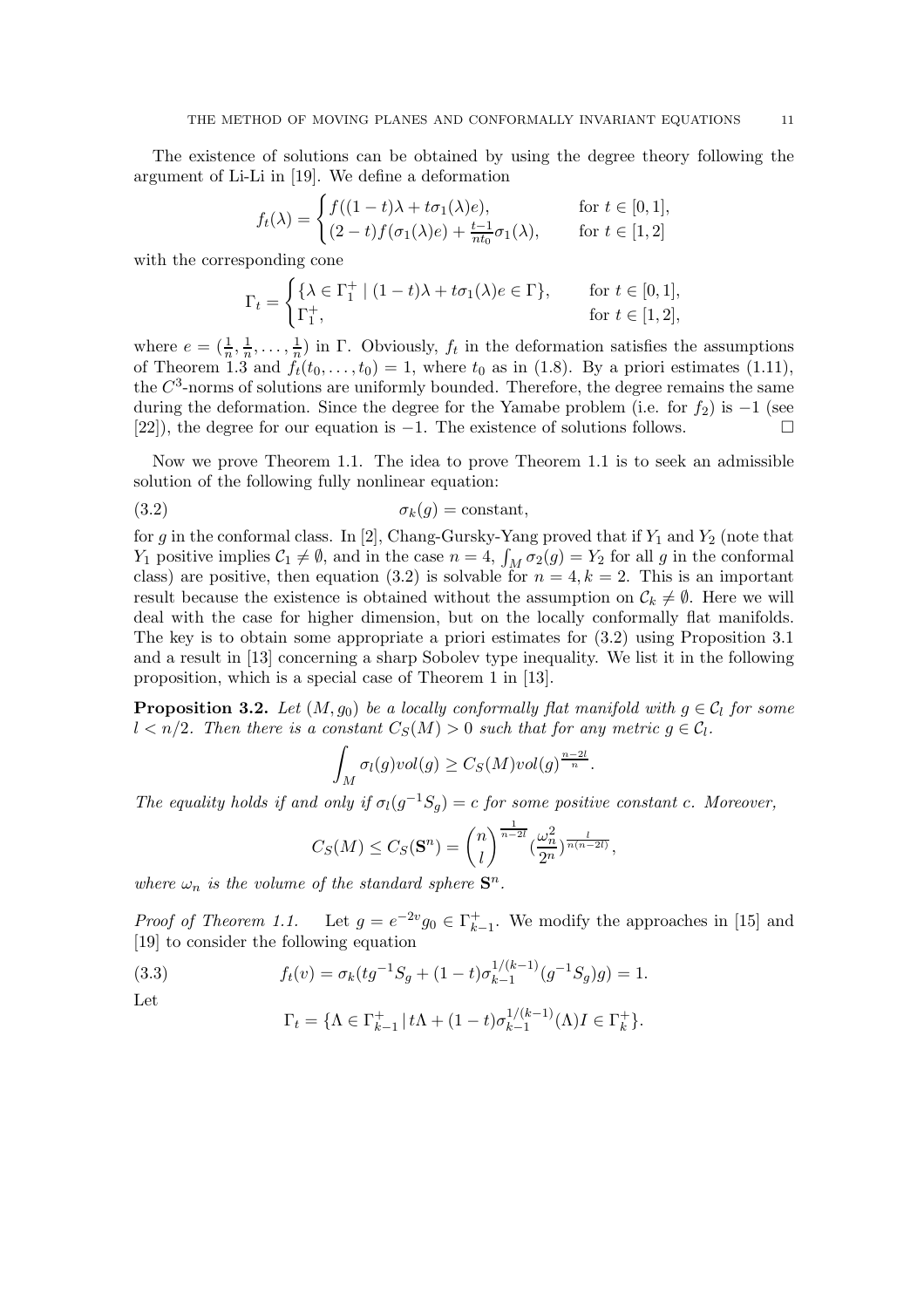The existence of solutions can be obtained by using the degree theory following the argument of Li-Li in [19]. We define a deformation

$$
f_t(\lambda) = \begin{cases} f((1-t)\lambda + t\sigma_1(\lambda)e), & \text{for } t \in [0,1],\\ (2-t)f(\sigma_1(\lambda)e) + \frac{t-1}{nt_0}\sigma_1(\lambda), & \text{for } t \in [1,2] \end{cases}
$$

with the corresponding cone

$$
\Gamma_t = \begin{cases} \{\lambda \in \Gamma_1^+ \mid (1-t)\lambda + t\sigma_1(\lambda)e \in \Gamma\}, & \text{for } t \in [0,1],\\ \Gamma_1^+, & \text{for } t \in [1,2], \end{cases}
$$

where  $e = (\frac{1}{n}, \frac{1}{n}, \dots, \frac{1}{n})$  in  $\Gamma$ . Obviously,  $f_t$  in the deformation satisfies the assumptions of Theorem 1.3 and  $f_t(t_0, t_0) = 1$  where  $t_0$  as in (1.8). By a priori estimates (1.11) of Theorem 1.3 and  $f_t(t_0,\ldots,t_0) = 1$ , where  $t_0$  as in (1.8). By a priori estimates (1.11), the  $C<sup>3</sup>$ -norms of solutions are uniformly bounded. Therefore, the degree remains the same during the deformation. Since the degree for the Yamabe problem (i.e. for  $f_2$ ) is  $-1$  (see [22]), the degree for our equation is −1. The existence of solutions follows.

Now we prove Theorem 1.1. The idea to prove Theorem 1.1 is to seek an admissible solution of the following fully nonlinear equation:

$$
\sigma_k(g) = \text{constant},
$$

for g in the conformal class. In [2], Chang-Gursky-Yang proved that if  $Y_1$  and  $Y_2$  (note that  $Y_1$  positive implies  $C_1 \neq \emptyset$ , and in the case  $n = 4$ ,  $\int_M \sigma_2(g) = Y_2$  for all g in the conformal class) are positive then equation (3.2) is solvable for  $n = 4$ ,  $k = 2$ . This is an important class) are positive, then equation (3.2) is solvable for  $n = 4, k = 2$ . This is an important result because the existence is obtained without the assumption on  $\mathcal{C}_k \neq \emptyset$ . Here we will deal with the case for higher dimension, but on the locally conformally flat manifolds. The key is to obtain some appropriate a priori estimates for (3.2) using Proposition 3.1 and a result in [13] concerning a sharp Sobolev type inequality. We list it in the following proposition, which is a special case of Theorem 1 in [13].

**Proposition 3.2.** *Let*  $(M, g_0)$  *be a locally conformally flat manifold with*  $g \in C_l$  *for some*  $l < n/2$ . Then there is a constant  $C_S(M) > 0$  such that for any metric  $g \in \mathcal{C}_l$ .

$$
\int_M \sigma_l(g) vol(g) \geq C_S(M) vol(g)^{\frac{n-2l}{n}}.
$$

The equality holds if and only if  $\sigma_l(g^{-1}S_g) = c$  for some positive constant c. Moreover,

$$
C_S(M) \leq C_S(\mathbf{S}^n) = \binom{n}{l}^{\frac{1}{n-2l}} \left(\frac{\omega_n^2}{2^n}\right)^{\frac{l}{n(n-2l)}},
$$

*where*  $\omega_n$  *is the volume of the standard sphere*  $\mathbf{S}^n$ *.* 

*Proof of Theorem 1.1.* Let  $g = e^{-2v}g_0 \in \Gamma_{k-1}^+$ . We modify the approaches in [15] and [19] to consider the following equation [19] to consider the following equation

(3.3) 
$$
f_t(v) = \sigma_k (tg^{-1}S_g + (1-t)\sigma_{k-1}^{1/(k-1)}(g^{-1}S_g)g) = 1.
$$

Let

$$
\Gamma_t = \{ \Lambda \in \Gamma_{k-1}^+ \, | \, t\Lambda + (1-t)\sigma_{k-1}^{1/(k-1)}(\Lambda)I \in \Gamma_k^+ \}.
$$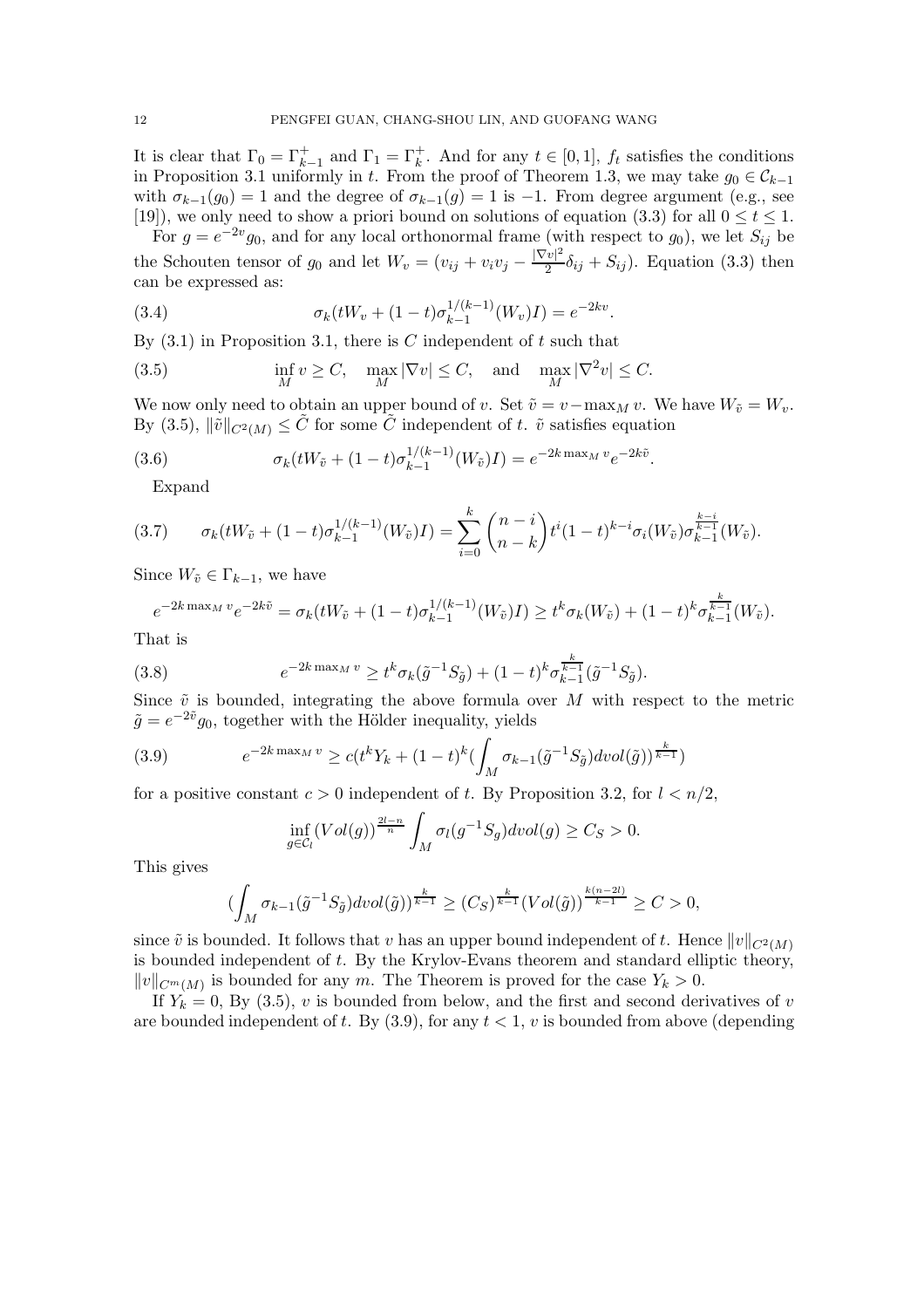It is clear that  $\Gamma_0 = \Gamma_{k-1}^+$  and  $\Gamma_1 = \Gamma_k^+$ . And for any  $t \in [0,1]$ ,  $f_t$  satisfies the conditions<br>in Proposition 3.1 uniformly in t. From the proof of Theorem 1.3, we may take  $g_0 \in C_{k-1}$ . in Proposition 3.1 uniformly in t. From the proof of Theorem 1.3, we may take  $g_0 \in \mathcal{C}_{k-1}$ with  $\sigma_{k-1}(g_0) = 1$  and the degree of  $\sigma_{k-1}(g) = 1$  is -1. From degree argument (e.g., see [19]), we only need to show a priori bound on solutions of equation (3.3) for all  $0 \le t \le 1$ .

For  $g = e^{-2v}g_0$ , and for any local orthonormal frame (with respect to  $g_0$ ), we let  $S_{ij}$  be the Schouten tensor of  $g_0$  and let  $W_v = (v_{ij} + v_i v_j - \frac{|\nabla v|^2}{2} \delta_{ij} + S_{ij})$ . Equation (3.3) then can be expressed as:

(3.4) 
$$
\sigma_k(tW_v + (1-t)\sigma_{k-1}^{1/(k-1)}(W_v)I) = e^{-2kv}.
$$

By  $(3.1)$  in Proposition 3.1, there is C independent of t such that

(3.5) 
$$
\inf_{M} v \geq C, \quad \max_{M} |\nabla v| \leq C, \quad \text{and} \quad \max_{M} |\nabla^{2} v| \leq C.
$$

We now only need to obtain an upper bound of v. Set  $\tilde{v} = v - \max_M v$ . We have  $W_{\tilde{v}} = W_v$ .<br>By (2.5)  $\|\tilde{v}\|$  is  $\leq \tilde{C}$  for some  $\tilde{C}$  independent of t.  $\tilde{v}$  extinges equation By (3.5),  $\|\tilde{v}\|_{C^2(M)} \leq \tilde{C}$  for some  $\tilde{C}$  independent of t.  $\tilde{v}$  satisfies equation

(3.6) 
$$
\sigma_k(tW_{\tilde{v}} + (1-t)\sigma_{k-1}^{1/(k-1)}(W_{\tilde{v}})I) = e^{-2k \max_M v} e^{-2k\tilde{v}}.
$$

Expand

$$
(3.7) \qquad \sigma_k(tW_{\tilde{v}} + (1-t)\sigma_{k-1}^{1/(k-1)}(W_{\tilde{v}})I) = \sum_{i=0}^k {n-i \choose n-k} t^i (1-t)^{k-i} \sigma_i(W_{\tilde{v}}) \sigma_{k-1}^{\frac{k-i}{k-1}}(W_{\tilde{v}}).
$$

Since  $W_{\tilde{v}} \in \Gamma_{k-1}$ , we have

$$
e^{-2k \max_M v} e^{-2k\tilde{v}} = \sigma_k(tW_{\tilde{v}} + (1-t)\sigma_{k-1}^{1/(k-1)}(W_{\tilde{v}})I) \ge t^k \sigma_k(W_{\tilde{v}}) + (1-t)^k \sigma_{k-1}^{\frac{k}{k-1}}(W_{\tilde{v}}).
$$

That is

(3.8) 
$$
e^{-2k \max_M v} \ge t^k \sigma_k(\tilde{g}^{-1} S_{\tilde{g}}) + (1-t)^k \sigma_{k-1}^{\frac{k}{k-1}}(\tilde{g}^{-1} S_{\tilde{g}}).
$$

Since  $\tilde{v}$  is bounded, integrating the above formula over M with respect to the metric  $\tilde{g} = e^{-2\tilde{v}}g_0$ , together with the Hölder inequality, yields

(3.9) 
$$
e^{-2k \max_M v} \ge c(t^k Y_k + (1-t)^k \left(\int_M \sigma_{k-1}(\tilde{g}^{-1} S_{\tilde{g}}) dvol(\tilde{g})\right)^{\frac{k}{k-1}})
$$

for a positive constant  $c > 0$  independent of t. By Proposition 3.2, for  $l < n/2$ ,

$$
\inf_{g \in \mathcal{C}_l} (Vol(g))^{\frac{2l-n}{n}} \int_M \sigma_l(g^{-1}S_g) dvol(g) \geq C_S > 0.
$$

This gives

$$
(\int_M\sigma_{k-1}(\tilde{g}^{-1}S_{\tilde{g}})dvol(\tilde{g}))^{\frac{k}{k-1}}\geq (C_S)^{\frac{k}{k-1}}(Vol(\tilde{g}))^{\frac{k(n-2l)}{k-1}}\geq C>0,
$$

since  $\tilde{v}$  is bounded. It follows that v has an upper bound independent of t. Hence  $||v||_{C^2(M)}$ is bounded independent of t. By the Krylov-Evans theorem and standard elliptic theory,  $||v||_{C^m(M)}$  is bounded for any m. The Theorem is proved for the case  $Y_k > 0$ .

If  $Y_k = 0$ , By (3.5), v is bounded from below, and the first and second derivatives of v are bounded independent of t. By  $(3.9)$ , for any  $t < 1$ , v is bounded from above (depending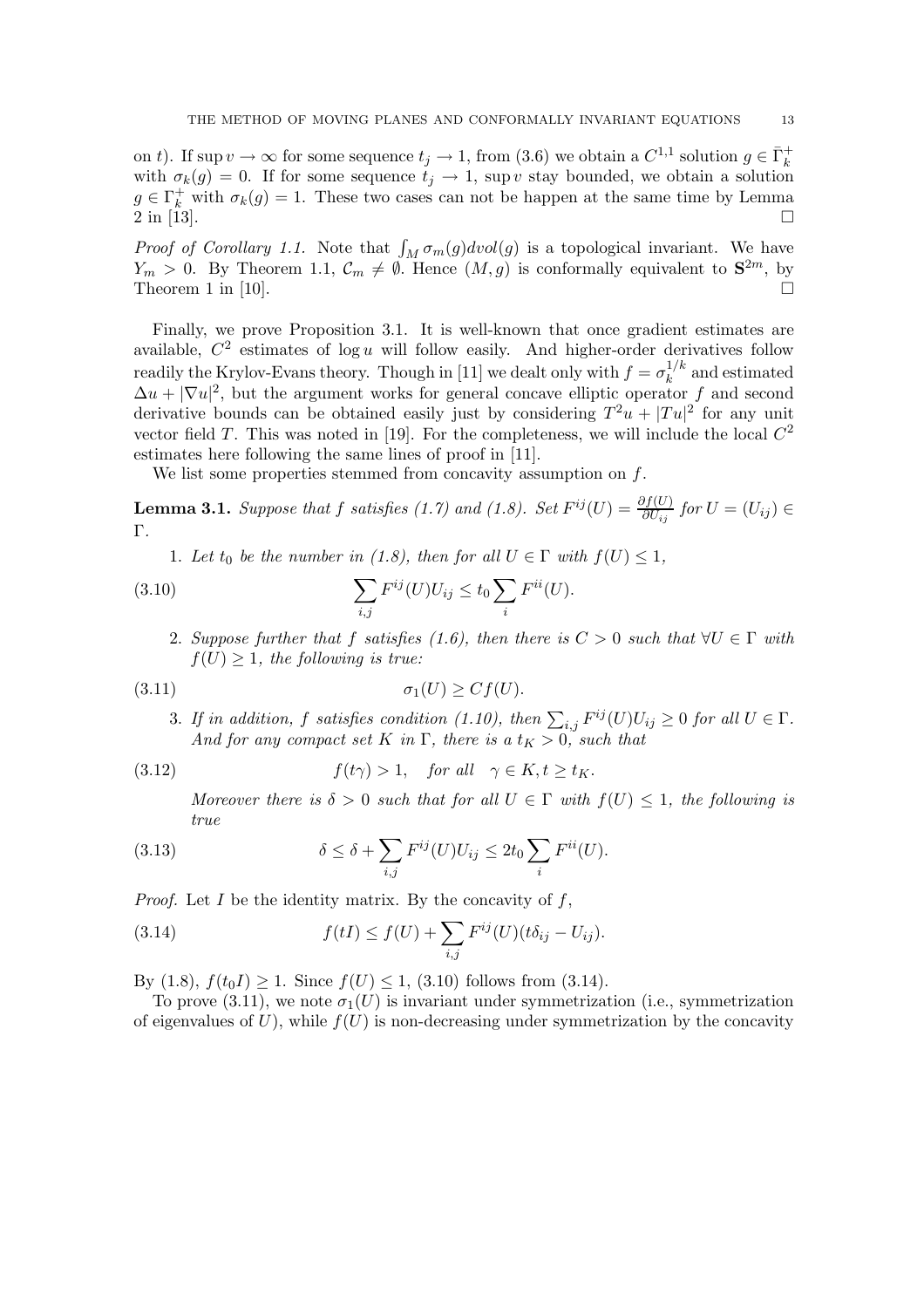on t). If sup  $v \to \infty$  for some sequence  $t_j \to 1$ , from (3.6) we obtain a  $C^{1,1}$  solution  $g \in \bar{\Gamma}_k^+$ with  $\sigma_k(g) = 0$ . If for some sequence  $t_j \to 1$ , sup v stay bounded, we obtain a solution  $g \in \Gamma_k^+$  with  $\sigma_k(g) = 1$ . These two cases can not be happen at the same time by Lemma 2 in [13] 2 in [13].

*Proof of Corollary 1.1.* Note that  $\int_M \sigma_m(g) dvol(g)$  is a topological invariant. We have  $V > 0$ . By Theorem 1.1.  $C \neq \emptyset$  Hence  $(M, g)$  is conformally equivalent to  $S^{2m}$  by  $Y_m > 0$ . By Theorem 1.1,  $\mathcal{C}_m \neq \emptyset$ . Hence  $(M, g)$  is conformally equivalent to  $\mathbf{S}^{2m}$ , by Theorem 1 in [10] Theorem 1 in [10].

Finally, we prove Proposition 3.1. It is well-known that once gradient estimates are available,  $C^2$  estimates of log u will follow easily. And higher-order derivatives follow readily the Krylov-Evans theory. Though in [11] we dealt only with  $f = \sigma_k^{1/k}$  and estimated  $\Delta u + |\nabla u|^2$  but the argument works for general concave elliptic operator f, and second  $\Delta u + |\nabla u|^2$ , but the argument works for general concave elliptic operator f and second derivative bounds can be obtained easily just by considering  $T^2u + |Tu|^2$  for any unit vector field T. This was noted in [19]. For the completeness, we will include the local  $C^2$ estimates here following the same lines of proof in [11].

We list some properties stemmed from concavity assumption on  $f$ .

**Lemma 3.1.** *Suppose that*  $f$  *satisfies* (1.7) and (1.8). Set  $F^{ij}(U) = \frac{\partial f(U)}{\partial U_{ij}}$  for  $U = (U_{ij}) \in \Gamma$ Γ*.*

1. Let  $t_0$  be the number in (1.8), then for all  $U \in \Gamma$  with  $f(U) \leq 1$ ,

(3.10) 
$$
\sum_{i,j} F^{ij}(U) U_{ij} \leq t_0 \sum_i F^{ii}(U).
$$

2. *Suppose further that* f *satisfies* (1.6), then there is  $C > 0$  *such that*  $\forall U \in \Gamma$  *with*  $f(U) \geq 1$ *, the following is true:* 

$$
\sigma_1(U) \ge Cf(U).
$$

3. If in addition, f satisfies condition (1.10), then  $\sum_{i,j} F^{ij}(U)U_{ij} \geq 0$  for all  $U \in \Gamma$ .<br>And for any compact set K in  $\Gamma$ , there is a t  $\infty$ , 0, such that *And for any compact set* K *in*  $\Gamma$ *, there is a*  $t_K > 0$ *, such that* 

(3.12) 
$$
f(t\gamma) > 1, \quad \text{for all} \quad \gamma \in K, t \ge t_K.
$$

*Moreover there is*  $\delta > 0$  *such that for all*  $U \in \Gamma$  *with*  $f(U) \leq 1$ *, the following is true*

(3.13) 
$$
\delta \leq \delta + \sum_{i,j} F^{ij}(U)U_{ij} \leq 2t_0 \sum_i F^{ii}(U).
$$

*Proof.* Let  $I$  be the identity matrix. By the concavity of  $f$ ,

(3.14) 
$$
f(tI) \le f(U) + \sum_{i,j} F^{ij}(U)(t\delta_{ij} - U_{ij}).
$$

By (1.8),  $f(t_0I) > 1$ . Since  $f(U) < 1$ , (3.10) follows from (3.14).

To prove (3.11), we note  $\sigma_1(U)$  is invariant under symmetrization (i.e., symmetrization of eigenvalues of  $U$ ), while  $f(U)$  is non-decreasing under symmetrization by the concavity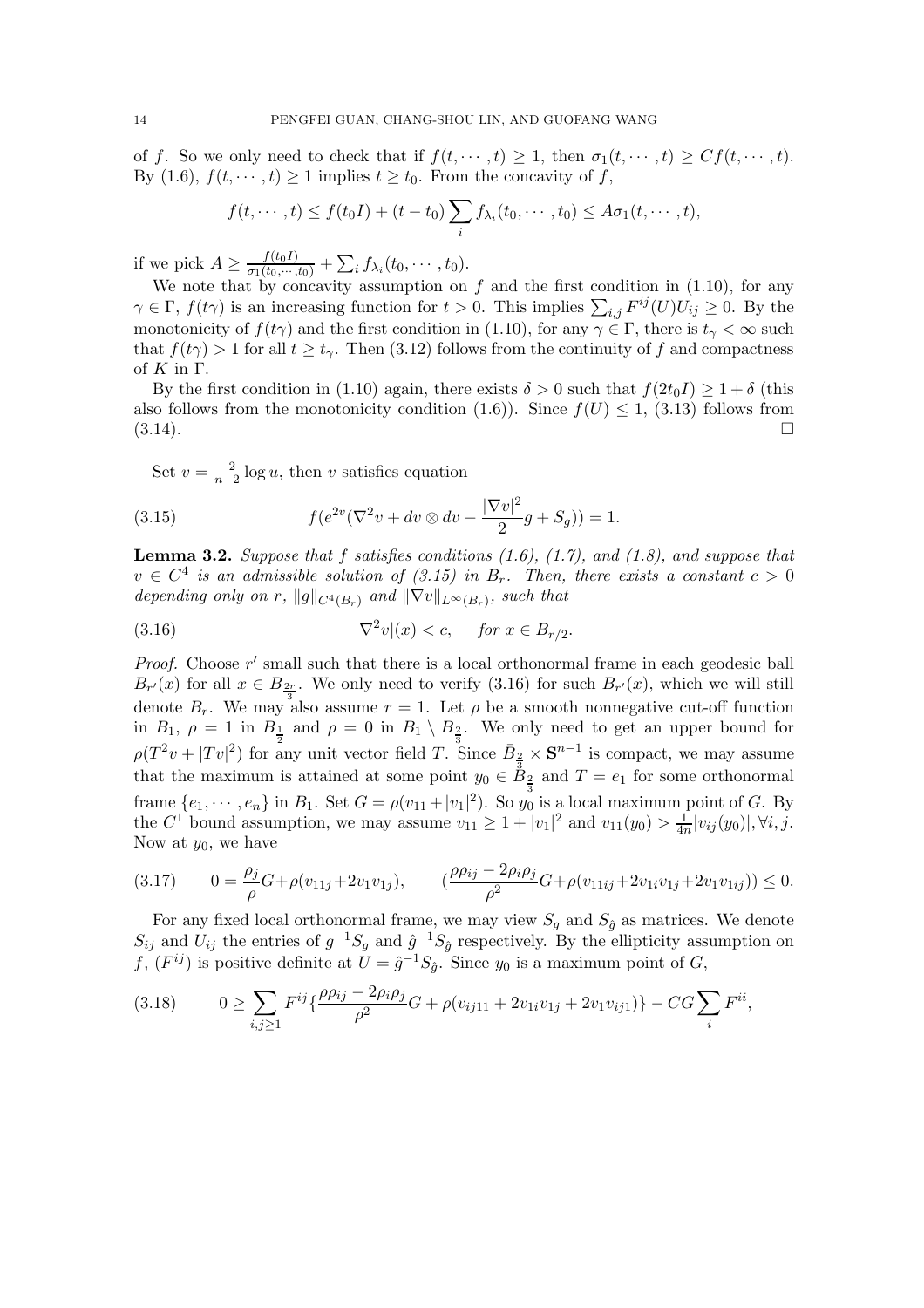of f. So we only need to check that if  $f(t, \dots, t) \geq 1$ , then  $\sigma_1(t, \dots, t) \geq C f(t, \dots, t)$ . By (1.6),  $f(t, \dots, t) \ge 1$  implies  $t \ge t_0$ . From the concavity of f,

$$
f(t,\dots,t)\leq f(t_0I)+(t-t_0)\sum_i f_{\lambda_i}(t_0,\dots,t_0)\leq A\sigma_1(t,\dots,t),
$$

if we pick  $A \ge \frac{f(t_0 I)}{\sigma_1(t_0, \dots, t_0)} + \sum_i f_{\lambda_i}(t_0, \dots, t_0)$ .<br>We note that by concavity assumption on f and the first condition in (1.10), for any

 $\gamma \in \Gamma$ ,  $f(t\gamma)$  is an increasing function for  $t > 0$ . This implies  $\sum_{i,j} F^{ij}(U)U_{ij} \geq 0$ . By the monotonicity of  $f(t\gamma)$  and the first condition in (1.10) for any  $\gamma \in \Gamma$ , there is  $t \leq \infty$  such monotonicity of  $f(t\gamma)$  and the first condition in (1.10), for any  $\gamma \in \Gamma$ , there is  $t_{\gamma} < \infty$  such that  $f(t\gamma) > 1$  for all  $t \geq t_{\gamma}$ . Then (3.12) follows from the continuity of f and compactness of  $K$  in  $\Gamma$ .

By the first condition in (1.10) again, there exists  $\delta > 0$  such that  $f(2t_0I) > 1 + \delta$  (this also follows from the monotonicity condition (1.6)). Since  $f(U) \leq 1$ , (3.13) follows from  $(3.14).$ 

Set  $v = \frac{-2}{n-2} \log u$ , then v satisfies equation

(3.15) 
$$
f(e^{2v}(\nabla^2 v + dv \otimes dv - \frac{|\nabla v|^2}{2}g + S_g)) = 1.
$$

**Lemma 3.2.** *Suppose that* f *satisfies conditions (1.6), (1.7), and (1.8), and suppose that*  $v \in C^4$  *is an admissible solution of (3.15) in*  $B_r$ . Then, there exists a constant  $c > 0$ *depending only on* r,  $||g||_{C^{4}(B_{r})}$  *and*  $||\nabla v||_{L^{\infty}(B_{r})}$ *, such that* 

$$
|\nabla^2 v|(x) < c, \quad \text{for } x \in B_{r/2}.
$$

*Proof.* Choose  $r'$  small such that there is a local orthonormal frame in each geodesic ball  $B_{r'}(x)$  for all  $x \in B_{\frac{2r}{3}}$ . We only need to verify (3.16) for such  $B_{r'}(x)$ , which we will still denote  $B_r$ . We may also assume  $r = 1$ . Let  $\rho$  be a smooth nonnegative cut-off function in  $B_1, \rho = 1$  in  $B_1$  and  $\rho = 0$  in  $B_1 \setminus B_2$ . We only need to get an upper bound for  $\rho(T^2v + |Tv|^2)$  for any unit vector field T. Since  $\bar{B}_{\frac{2}{3}} \times S^{n-1}$  is compact, we may assume that the maximum is attained at some point  $y_0 \in \mathring{B}_{\frac{2}{3}}$  and  $T = e_1$  for some orthonormal frame  $\{e_1, \dots, e_n\}$  in  $B_1$ . Set  $G = \rho(v_{11} + |v_1|^2)$ . So  $y_0$  is a local maximum point of G. By the  $C^1$  bound assumption, we may assume  $v_{11} \ge 1 + |v_1|^2$  and  $v_{11}(y_0) > \frac{1}{4n}|v_{ij}(y_0)|, \forall i, j$ .<br>Now at  $y_0$  we have Now at  $y_0$ , we have

$$
(3.17) \qquad 0 = \frac{\rho_j}{\rho} G + \rho(v_{11j} + 2v_1v_{1j}), \qquad (\frac{\rho \rho_{ij} - 2\rho_i \rho_j}{\rho^2} G + \rho(v_{11ij} + 2v_{1i}v_{1j} + 2v_1v_{1ij})) \le 0.
$$

For any fixed local orthonormal frame, we may view  $S_g$  and  $S_{\hat{g}}$  as matrices. We denote  $S_{ij}$  and  $U_{ij}$  the entries of  $g^{-1}S_g$  and  $\hat{g}^{-1}S_{\hat{g}}$  respectively. By the ellipticity assumption on f,  $(F^{ij})$  is positive definite at  $\tilde{U} = \hat{g}^{-1} S_{\hat{g}}$ . Since  $y_0$  is a maximum point of G,

$$
(3.18) \qquad 0 \ge \sum_{i,j\ge 1} F^{ij} \{ \frac{\rho \rho_{ij} - 2\rho_i \rho_j}{\rho^2} G + \rho (v_{ij11} + 2v_{1i}v_{1j} + 2v_1v_{ij1}) \} - CG \sum_i F^{ii},
$$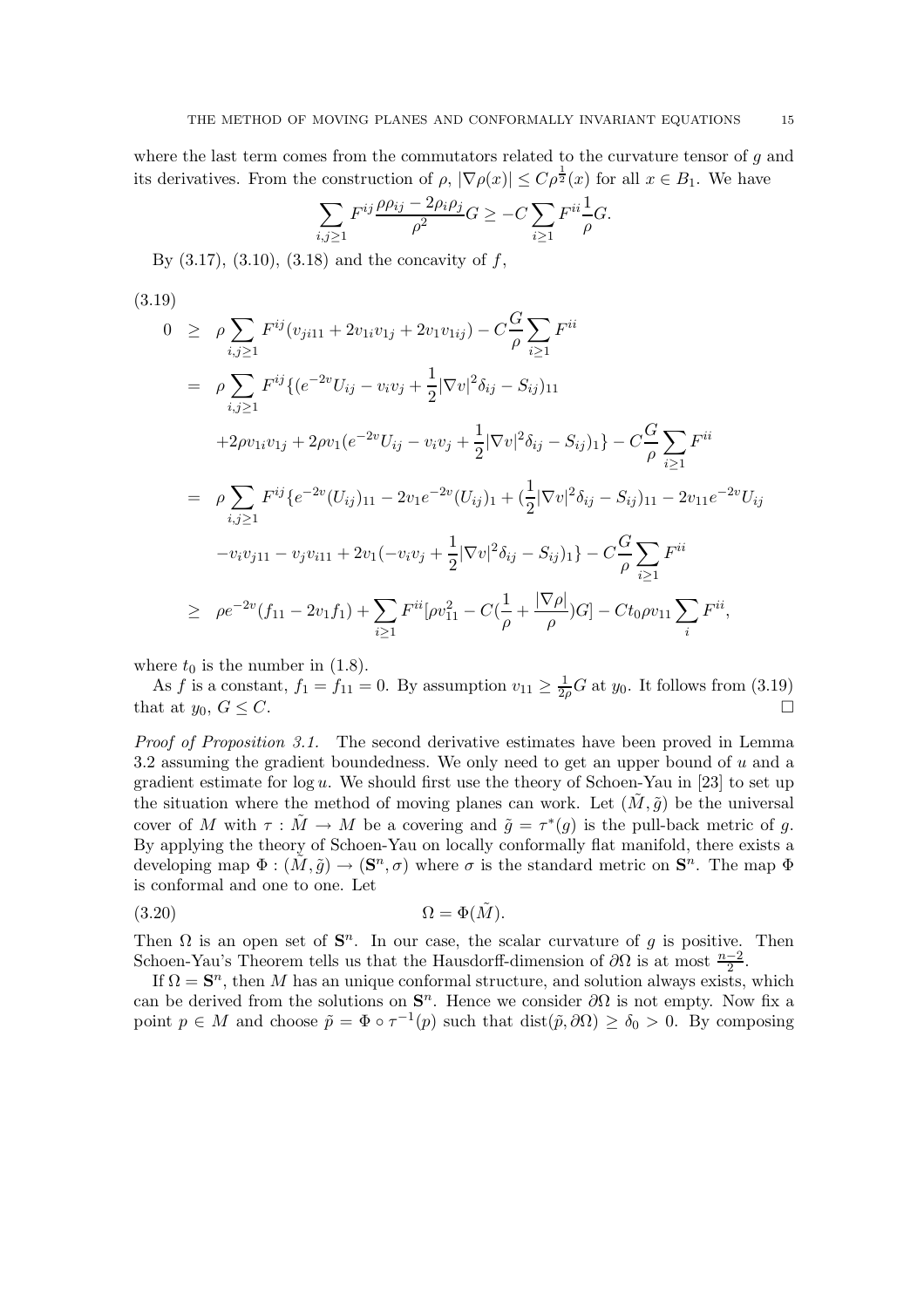where the last term comes from the commutators related to the curvature tensor of g and its derivatives. From the construction of  $\rho$ ,  $|\nabla \rho(x)| \leq C \rho^{\frac{1}{2}}(x)$  for all  $x \in B_1$ . We have

$$
\sum_{i,j\geq 1} F^{ij} \frac{\rho \rho_{ij} - 2\rho_i \rho_j}{\rho^2} G \geq -C \sum_{i\geq 1} F^{ii} \frac{1}{\rho} G.
$$

By  $(3.17), (3.10), (3.18)$  and the concavity of f,

$$
(3.19)
$$
\n
$$
0 \geq \rho \sum_{i,j\geq 1} F^{ij}(v_{ji11} + 2v_{1i}v_{1j} + 2v_{1}v_{1ij}) - C\frac{G}{\rho} \sum_{i\geq 1} F^{ii}
$$
\n
$$
= \rho \sum_{i,j\geq 1} F^{ij} \{ (e^{-2v}U_{ij} - v_iv_j + \frac{1}{2}|\nabla v|^2 \delta_{ij} - S_{ij})_{11} + 2\rho v_{1i}v_{1j} + 2\rho v_{1}(e^{-2v}U_{ij} - v_iv_j + \frac{1}{2}|\nabla v|^2 \delta_{ij} - S_{ij})_1 \} - C\frac{G}{\rho} \sum_{i\geq 1} F^{ii}
$$
\n
$$
= \rho \sum_{i,j\geq 1} F^{ij} \{ e^{-2v}(U_{ij})_{11} - 2v_1 e^{-2v}(U_{ij})_1 + (\frac{1}{2}|\nabla v|^2 \delta_{ij} - S_{ij})_{11} - 2v_{11}e^{-2v}U_{ij} - v_iv_{j11} - v_jv_{i11} + 2v_1(-v_iv_j + \frac{1}{2}|\nabla v|^2 \delta_{ij} - S_{ij})_1 \} - C\frac{G}{\rho} \sum_{i\geq 1} F^{ii}
$$
\n
$$
\geq \rho e^{-2v}(f_{11} - 2v_1f_1) + \sum_{i\geq 1} F^{ii} [\rho v_{11}^2 - C(\frac{1}{\rho} + \frac{|\nabla \rho|}{\rho})G] - Ct_0\rho v_{11} \sum_i F^{ii},
$$

where  $t_0$  is the number in (1.8).

As f is a constant,  $f_1 = f_{11} = 0$ . By assumption  $v_{11} \ge \frac{1}{2\rho} G$  at  $y_0$ . It follows from (3.19) that at  $y_0, G \leq C$ .

*Proof of Proposition 3.1.* The second derivative estimates have been proved in Lemma 3.2 assuming the gradient boundedness. We only need to get an upper bound of u and a gradient estimate for  $log u$ . We should first use the theory of Schoen-Yau in [23] to set up the situation where the method of moving planes can work. Let  $(M, \tilde{g})$  be the universal cover of M with  $\tau : \tilde{M} \to M$  be a covering and  $\tilde{q} = \tau^*(q)$  is the pull-back metric of q. By applying the theory of Schoen-Yau on locally conformally flat manifold, there exists a developing map  $\Phi : (\tilde{M}, \tilde{g}) \to (\mathbf{S}^n, \sigma)$  where  $\sigma$  is the standard metric on  $\mathbf{S}^n$ . The map  $\Phi$ is conformal and one to one. Let

$$
(3.20) \t\t \t\t \Omega = \Phi(\tilde{M}).
$$

Then  $\Omega$  is an open set of  $S<sup>n</sup>$ . In our case, the scalar curvature of g is positive. Then Schoen-Yau's Theorem tells us that the Hausdorff-dimension of  $\partial\Omega$  is at most  $\frac{n-2}{2}$ .

If  $\Omega = S^n$ , then M has an unique conformal structure, and solution always exists, which can be derived from the solutions on  $S<sup>n</sup>$ . Hence we consider  $\partial\Omega$  is not empty. Now fix a point  $p \in M$  and choose  $\tilde{p} = \Phi \circ \tau^{-1}(p)$  such that  $dist(\tilde{p}, \partial \Omega) \ge \delta_0 > 0$ . By composing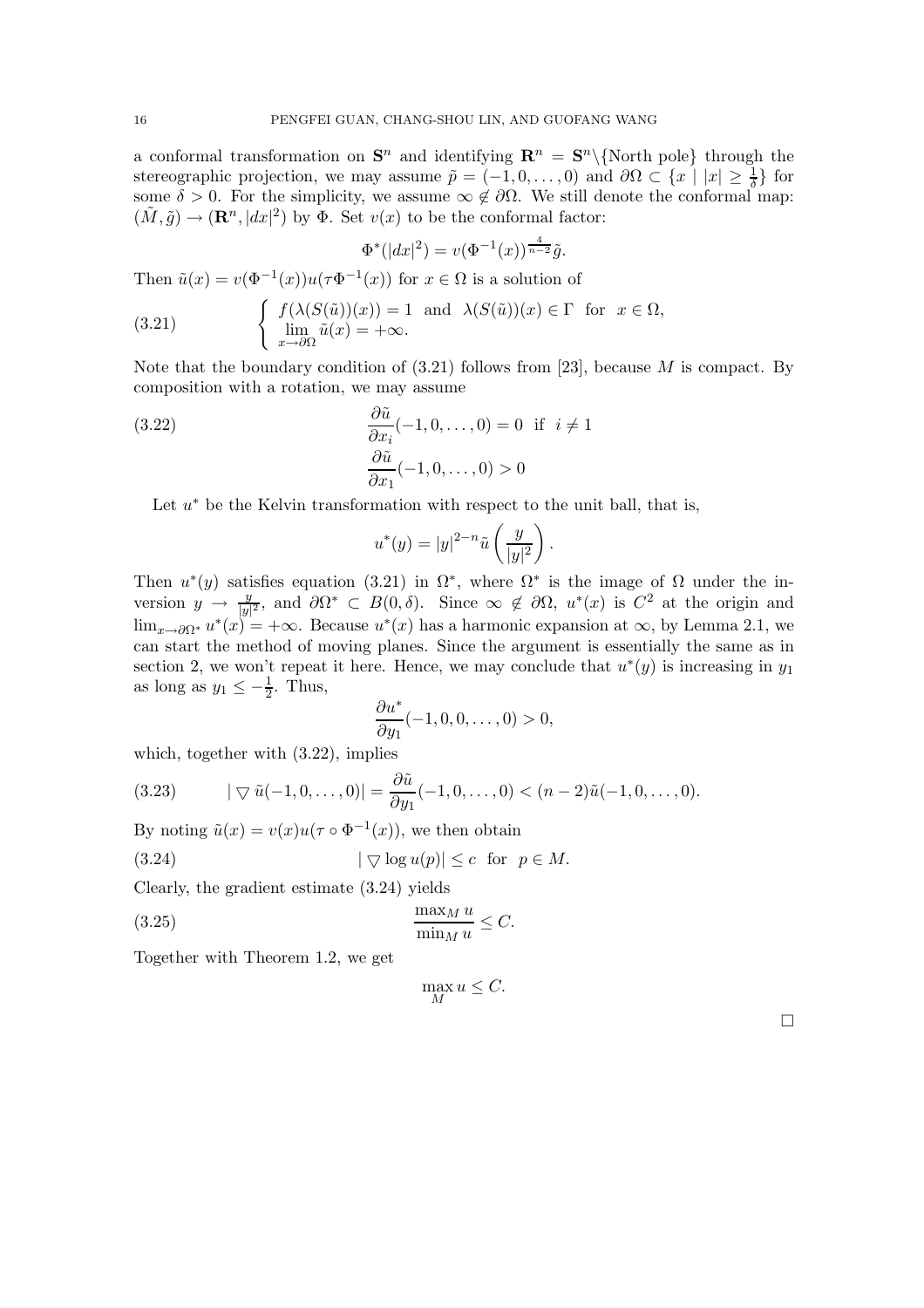a conformal transformation on  $S^n$  and identifying  $\mathbb{R}^n = S^n \setminus \{ \text{North pole} \}$  through the stereographic projection, we may assume  $\tilde{p} = (-1, 0, \ldots, 0)$  and  $\partial \Omega \subset \{x \mid |x| \geq \frac{1}{\delta}\}\)$  for some  $\delta > 0$ . For the simplicity we assume  $\infty \notin \partial \Omega$ . We still denote the conformal map. some  $\delta > 0$ . For the simplicity, we assume  $\infty \notin \partial \Omega$ . We still denote the conformal map:  $(\tilde{M}, \tilde{g}) \to (\mathbf{R}^n, |dx|^2)$  by  $\Phi$ . Set  $v(x)$  to be the conformal factor:

$$
\Phi^*(|dx|^2) = v(\Phi^{-1}(x))^{\frac{4}{n-2}}\tilde{g}.
$$

Then  $\tilde{u}(x) = v(\Phi^{-1}(x))u(\tau \Phi^{-1}(x))$  for  $x \in \Omega$  is a solution of

(3.21) 
$$
\begin{cases} f(\lambda(S(\tilde{u}))(x)) = 1 \text{ and } \lambda(S(\tilde{u}))(x) \in \Gamma \text{ for } x \in \Omega, \\ \lim_{x \to \partial \Omega} \tilde{u}(x) = +\infty. \end{cases}
$$

Note that the boundary condition of  $(3.21)$  follows from [23], because M is compact. By composition with a rotation, we may assume

(3.22) 
$$
\begin{aligned}\n\frac{\partial \tilde{u}}{\partial x_i}(-1, 0, \dots, 0) &= 0 \text{ if } i \neq 1 \\
\frac{\partial \tilde{u}}{\partial x_1}(-1, 0, \dots, 0) > 0\n\end{aligned}
$$

Let  $u^*$  be the Kelvin transformation with respect to the unit ball, that is,

$$
u^*(y) = |y|^{2-n} \tilde{u}\left(\frac{y}{|y|^2}\right).
$$

Then  $u^*(y)$  satisfies equation (3.21) in  $\Omega^*$ , where  $\Omega^*$  is the image of  $\Omega$  under the inversion  $y \to \frac{y}{|y|^2}$ , and  $\partial \Omega^* \subset B(0, \delta)$ . Since  $\infty \notin \partial \Omega$ ,  $u^*(x)$  is  $C^2$  at the origin and<br>lime set  $u^*(x) = +\infty$ . Because  $u^*(x)$  has a harmonic expansion at  $\infty$  by Lemma 2.1 we  $\lim_{x\to\partial\Omega^*} u^*(x) = +\infty$ . Because  $u^*(x)$  has a harmonic expansion at  $\infty$ , by Lemma 2.1, we can start the method of moving planes. Since the argument is essentially the same as in section 2, we won't repeat it here. Hence, we may conclude that  $u^*(y)$  is increasing in  $y_1$ as long as  $y_1 \leq -\frac{1}{2}$ . Thus,

$$
\frac{\partial u^*}{\partial y_1}(-1,0,0,\ldots,0)>0,
$$

which, together with (3.22), implies

(3.23) 
$$
|\nabla \tilde{u}(-1,0,\ldots,0)| = \frac{\partial \tilde{u}}{\partial y_1}(-1,0,\ldots,0) < (n-2)\tilde{u}(-1,0,\ldots,0).
$$

By noting  $\tilde{u}(x) = v(x)u(\tau \circ \Phi^{-1}(x))$ , we then obtain

$$
(3.24) \t |\nabla \log u(p)| \leq c \text{ for } p \in M.
$$

Clearly, the gradient estimate (3.24) yields

(3.25) 
$$
\frac{\max_M u}{\min_M u} \leq C.
$$

Together with Theorem 1.2, we get

$$
\max_{M} u \leq C.
$$

 $\Box$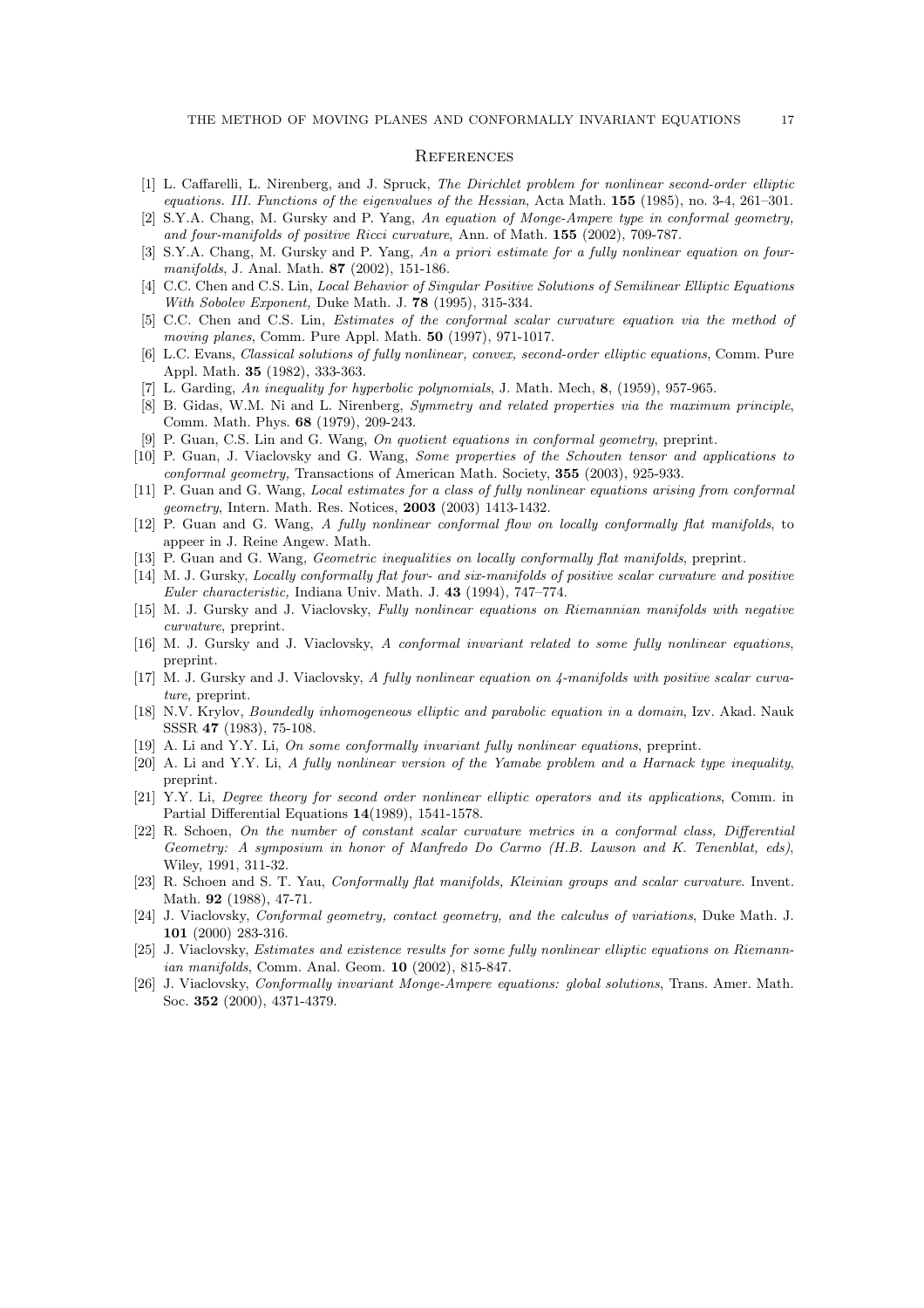#### **REFERENCES**

- [1] L. Caffarelli, L. Nirenberg, and J. Spruck, The Dirichlet problem for nonlinear second-order elliptic equations. III. Functions of the eigenvalues of the Hessian, Acta Math. **155** (1985), no. 3-4, 261–301.
- [2] S.Y.A. Chang, M. Gursky and P. Yang, An equation of Monge-Ampere type in conformal geometry, and four-manifolds of positive Ricci curvature, Ann. of Math. **155** (2002), 709-787.
- [3] S.Y.A. Chang, M. Gursky and P. Yang, An a priori estimate for a fully nonlinear equation on fourmanifolds, J. Anal. Math. **87** (2002), 151-186.
- [4] C.C. Chen and C.S. Lin, Local Behavior of Singular Positive Solutions of Semilinear Elliptic Equations With Sobolev Exponent, Duke Math. J. **78** (1995), 315-334.
- [5] C.C. Chen and C.S. Lin, Estimates of the conformal scalar curvature equation via the method of moving planes, Comm. Pure Appl. Math. **50** (1997), 971-1017.
- [6] L.C. Evans, Classical solutions of fully nonlinear, convex, second-order elliptic equations, Comm. Pure Appl. Math. **35** (1982), 333-363.
- [7] L. Garding, An inequality for hyperbolic polynomials, J. Math. Mech, **8**, (1959), 957-965.
- [8] B. Gidas, W.M. Ni and L. Nirenberg, Symmetry and related properties via the maximum principle, Comm. Math. Phys. **68** (1979), 209-243.
- [9] P. Guan, C.S. Lin and G. Wang, On quotient equations in conformal geometry, preprint.
- [10] P. Guan, J. Viaclovsky and G. Wang, Some properties of the Schouten tensor and applications to conformal geometry, Transactions of American Math. Society, **355** (2003), 925-933.
- [11] P. Guan and G. Wang, Local estimates for a class of fully nonlinear equations arising from conformal geometry, Intern. Math. Res. Notices, **2003** (2003) 1413-1432.
- [12] P. Guan and G. Wang, A fully nonlinear conformal flow on locally conformally flat manifolds, to appeer in J. Reine Angew. Math.
- [13] P. Guan and G. Wang, *Geometric inequalities on locally conformally flat manifolds*, preprint.
- [14] M. J. Gursky, Locally conformally flat four- and six-manifolds of positive scalar curvature and positive Euler characteristic, Indiana Univ. Math. J. **43** (1994), 747–774.
- [15] M. J. Gursky and J. Viaclovsky, Fully nonlinear equations on Riemannian manifolds with negative curvature, preprint.
- [16] M. J. Gursky and J. Viaclovsky, A conformal invariant related to some fully nonlinear equations, preprint.
- [17] M. J. Gursky and J. Viaclovsky, A fully nonlinear equation on 4-manifolds with positive scalar curvature, preprint.
- [18] N.V. Krylov, Boundedly inhomogeneous elliptic and parabolic equation in a domain, Izv. Akad. Nauk SSSR **47** (1983), 75-108.
- [19] A. Li and Y.Y. Li, On some conformally invariant fully nonlinear equations, preprint.
- [20] A. Li and Y.Y. Li, A fully nonlinear version of the Yamabe problem and a Harnack type inequality, preprint.
- [21] Y.Y. Li, Degree theory for second order nonlinear elliptic operators and its applications, Comm. in Partial Differential Equations **14**(1989), 1541-1578.
- [22] R. Schoen, On the number of constant scalar curvature metrics in a conformal class, Differential Geometry: A symposium in honor of Manfredo Do Carmo (H.B. Lawson and K. Tenenblat, eds), Wiley, 1991, 311-32.
- [23] R. Schoen and S. T. Yau, Conformally flat manifolds, Kleinian groups and scalar curvature. Invent. Math. **92** (1988), 47-71.
- [24] J. Viaclovsky, Conformal geometry, contact geometry, and the calculus of variations, Duke Math. J. **101** (2000) 283-316.
- [25] J. Viaclovsky, Estimates and existence results for some fully nonlinear elliptic equations on Riemannian manifolds, Comm. Anal. Geom. **10** (2002), 815-847.
- [26] J. Viaclovsky, Conformally invariant Monge-Ampere equations: global solutions, Trans. Amer. Math. Soc. **352** (2000), 4371-4379.